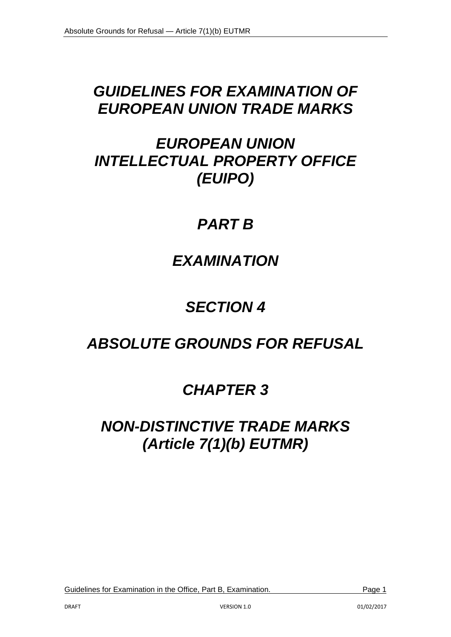# *GUIDELINES FOR EXAMINATION OF EUROPEAN UNION TRADE MARKS*

# *EUROPEAN UNION INTELLECTUAL PROPERTY OFFICE (EUIPO)*

# *PART B*

# *EXAMINATION*

# *SECTION 4*

# *ABSOLUTE GROUNDS FOR REFUSAL*

# *CHAPTER 3*

# *NON-DISTINCTIVE TRADE MARKS (Article 7(1)(b) EUTMR)*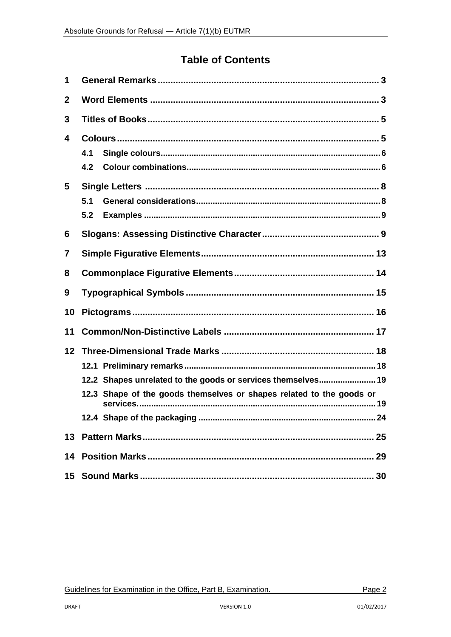# **Table of Contents**

| 1            |                                                                                                                                      |  |  |  |  |
|--------------|--------------------------------------------------------------------------------------------------------------------------------------|--|--|--|--|
| $\mathbf{2}$ |                                                                                                                                      |  |  |  |  |
| 3            |                                                                                                                                      |  |  |  |  |
| 4<br>5       | 4.1<br>4.2<br>5.1                                                                                                                    |  |  |  |  |
|              | 5.2                                                                                                                                  |  |  |  |  |
| 6            |                                                                                                                                      |  |  |  |  |
| 7            |                                                                                                                                      |  |  |  |  |
| 8            |                                                                                                                                      |  |  |  |  |
| 9            |                                                                                                                                      |  |  |  |  |
| 10           |                                                                                                                                      |  |  |  |  |
| 11           |                                                                                                                                      |  |  |  |  |
| 12           | 12.2 Shapes unrelated to the goods or services themselves 19<br>12.3 Shape of the goods themselves or shapes related to the goods or |  |  |  |  |
|              |                                                                                                                                      |  |  |  |  |
|              |                                                                                                                                      |  |  |  |  |
|              |                                                                                                                                      |  |  |  |  |
|              |                                                                                                                                      |  |  |  |  |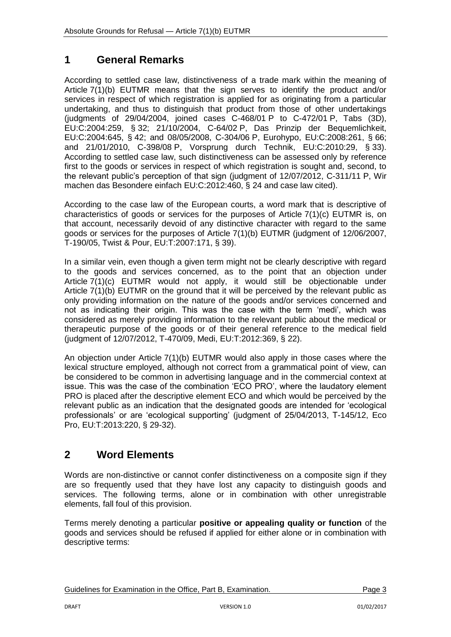# <span id="page-2-0"></span>**1 General Remarks**

According to settled case law, distinctiveness of a trade mark within the meaning of Article 7(1)(b) EUTMR means that the sign serves to identify the product and/or services in respect of which registration is applied for as originating from a particular undertaking, and thus to distinguish that product from those of other undertakings (judgments of 29/04/2004, joined cases C-468/01 P to C-472/01 P, Tabs (3D), EU:C:2004:259, § 32; 21/10/2004, C-64/02 P, Das Prinzip der Bequemlichkeit, EU:C:2004:645, § 42; and 08/05/2008, C-304/06 P, Eurohypo, EU:C:2008:261, § 66; and 21/01/2010, C-398/08 P, Vorsprung durch Technik, EU:C:2010:29, § 33). According to settled case law, such distinctiveness can be assessed only by reference first to the goods or services in respect of which registration is sought and, second, to the relevant public's perception of that sign (judgment of 12/07/2012, C-311/11 P, Wir machen das Besondere einfach EU:C:2012:460, § 24 and case law cited).

According to the case law of the European courts, a word mark that is descriptive of characteristics of goods or services for the purposes of Article 7(1)(c) EUTMR is, on that account, necessarily devoid of any distinctive character with regard to the same goods or services for the purposes of Article 7(1)(b) EUTMR (judgment of 12/06/2007, T-190/05, Twist & Pour, EU:T:2007:171, § 39).

In a similar vein, even though a given term might not be clearly descriptive with regard to the goods and services concerned, as to the point that an objection under Article 7(1)(c) EUTMR would not apply, it would still be objectionable under Article 7(1)(b) EUTMR on the ground that it will be perceived by the relevant public as only providing information on the nature of the goods and/or services concerned and not as indicating their origin. This was the case with the term 'medi', which was considered as merely providing information to the relevant public about the medical or therapeutic purpose of the goods or of their general reference to the medical field (judgment of 12/07/2012, T-470/09, Medi, EU:T:2012:369, § 22).

An objection under Article 7(1)(b) EUTMR would also apply in those cases where the lexical structure employed, although not correct from a grammatical point of view, can be considered to be common in advertising language and in the commercial context at issue. This was the case of the combination 'ECO PRO', where the laudatory element PRO is placed after the descriptive element ECO and which would be perceived by the relevant public as an indication that the designated goods are intended for 'ecological professionals' or are 'ecological supporting' (judgment of 25/04/2013, T-145/12, Eco Pro, EU:T:2013:220, § 29-32).

# <span id="page-2-1"></span>**2 Word Elements**

Words are non-distinctive or cannot confer distinctiveness on a composite sign if they are so frequently used that they have lost any capacity to distinguish goods and services. The following terms, alone or in combination with other unregistrable elements, fall foul of this provision.

Terms merely denoting a particular **positive or appealing quality or function** of the goods and services should be refused if applied for either alone or in combination with descriptive terms: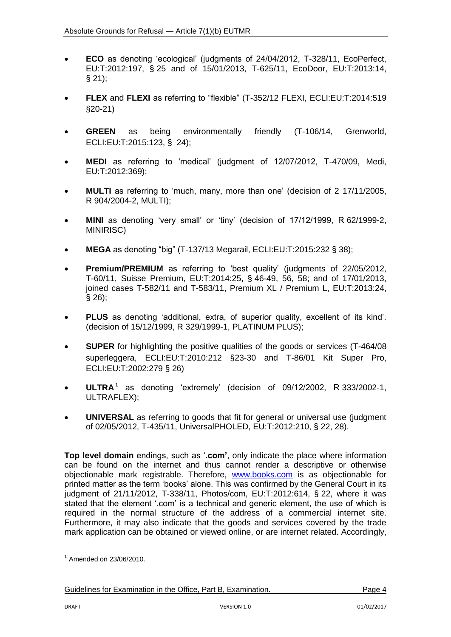- **ECO** as denoting 'ecological' (judgments of 24/04/2012, T-328/11, EcoPerfect, EU:T:2012:197, § 25 and of 15/01/2013, T-625/11, EcoDoor, EU:T:2013:14,  $§$  21);
- **FLEX** and **FLEXI** as referring to "flexible" (T-352/12 FLEXI, ECLI:EU:T:2014:519 §20-21)
- **GREEN** as being environmentally friendly (T-106/14, Grenworld, ECLI:EU:T:2015:123, § 24);
- **MEDI** as referring to 'medical' (judgment of 12/07/2012, T-470/09, Medi, EU:T:2012:369);
- **MULTI** as referring to 'much, many, more than one' (decision of 2 17/11/2005, R 904/2004-2, MULTI);
- **MINI** as denoting 'very small' or 'tiny' (decision of 17/12/1999, R 62/1999-2, MINIRISC)
- **MEGA** as denoting "big" (T-137/13 Megarail, ECLI:EU:T:2015:232 § 38);
- **Premium/PREMIUM** as referring to 'best quality' (judgments of 22/05/2012, T-60/11, Suisse Premium, EU:T:2014:25, § 46-49, 56, 58; and of 17/01/2013, joined cases T-582/11 and T-583/11, Premium XL / Premium L, EU:T:2013:24, § 26);
- **PLUS** as denoting 'additional, extra, of superior quality, excellent of its kind'. (decision of 15/12/1999, R 329/1999-1, PLATINUM PLUS);
- **SUPER** for highlighting the positive qualities of the goods or services (T-464/08 superleggera, ECLI:EU:T:2010:212 §23-30 and T-86/01 Kit Super Pro, ECLI:EU:T:2002:279 § 26)
- **ULTRA**<sup>1</sup> as denoting 'extremely' (decision of 09/12/2002, R 333/2002-1, ULTRAFLEX);
- **UNIVERSAL** as referring to goods that fit for general or universal use (judgment of 02/05/2012, T-435/11, UniversalPHOLED, EU:T:2012:210, § 22, 28).

**Top level domain** endings, such as '**.com'**, only indicate the place where information can be found on the internet and thus cannot render a descriptive or otherwise objectionable mark registrable. Therefore, [www.books.com](http://www.books.com/) is as objectionable for printed matter as the term 'books' alone. This was confirmed by the General Court in its judgment of 21/11/2012, T-338/11, Photos/com, EU:T:2012:614, § 22, where it was stated that the element '.com' is a technical and generic element, the use of which is required in the normal structure of the address of a commercial internet site. Furthermore, it may also indicate that the goods and services covered by the trade mark application can be obtained or viewed online, or are internet related. Accordingly,

**<sup>.</sup>** 1 Amended on 23/06/2010.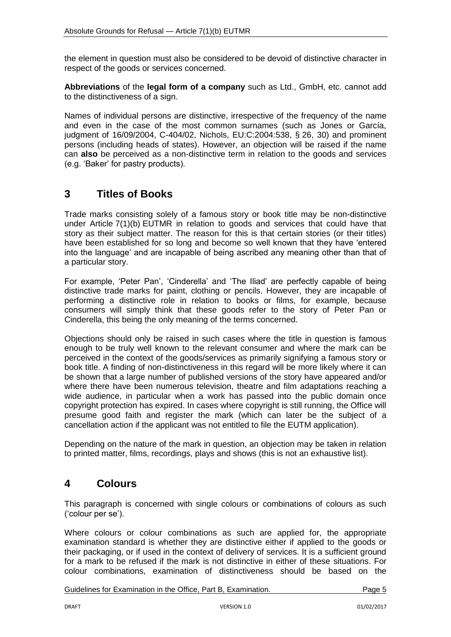the element in question must also be considered to be devoid of distinctive character in respect of the goods or services concerned.

**Abbreviations** of the **legal form of a company** such as Ltd., GmbH, etc. cannot add to the distinctiveness of a sign.

Names of individual persons are distinctive, irrespective of the frequency of the name and even in the case of the most common surnames (such as Jones or García, judgment of 16/09/2004, C-404/02, Nichols, EU:C:2004:538, § 26, 30) and prominent persons (including heads of states). However, an objection will be raised if the name can **also** be perceived as a non-distinctive term in relation to the goods and services (e.g. 'Baker' for pastry products).

## <span id="page-4-0"></span>**3 Titles of Books**

Trade marks consisting solely of a famous story or book title may be non-distinctive under Article 7(1)(b) EUTMR in relation to goods and services that could have that story as their subject matter. The reason for this is that certain stories (or their titles) have been established for so long and become so well known that they have 'entered into the language' and are incapable of being ascribed any meaning other than that of a particular story.

For example, 'Peter Pan', 'Cinderella' and 'The Iliad' are perfectly capable of being distinctive trade marks for paint, clothing or pencils. However, they are incapable of performing a distinctive role in relation to books or films, for example, because consumers will simply think that these goods refer to the story of Peter Pan or Cinderella, this being the only meaning of the terms concerned.

Objections should only be raised in such cases where the title in question is famous enough to be truly well known to the relevant consumer and where the mark can be perceived in the context of the goods/services as primarily signifying a famous story or book title. A finding of non-distinctiveness in this regard will be more likely where it can be shown that a large number of published versions of the story have appeared and/or where there have been numerous television, theatre and film adaptations reaching a wide audience, in particular when a work has passed into the public domain once copyright protection has expired. In cases where copyright is still running, the Office will presume good faith and register the mark (which can later be the subject of a cancellation action if the applicant was not entitled to file the EUTM application).

Depending on the nature of the mark in question, an objection may be taken in relation to printed matter, films, recordings, plays and shows (this is not an exhaustive list).

# <span id="page-4-1"></span>**4 Colours**

This paragraph is concerned with single colours or combinations of colours as such ('colour per se').

Where colours or colour combinations as such are applied for, the appropriate examination standard is whether they are distinctive either if applied to the goods or their packaging, or if used in the context of delivery of services. It is a sufficient ground for a mark to be refused if the mark is not distinctive in either of these situations. For colour combinations, examination of distinctiveness should be based on the

Guidelines for Examination in the Office, Part B, Examination. The Contract of Page 5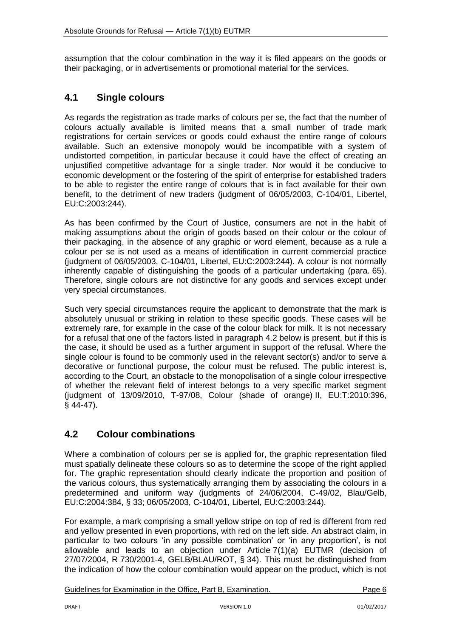assumption that the colour combination in the way it is filed appears on the goods or their packaging, or in advertisements or promotional material for the services.

## <span id="page-5-0"></span>**4.1 Single colours**

As regards the registration as trade marks of colours per se, the fact that the number of colours actually available is limited means that a small number of trade mark registrations for certain services or goods could exhaust the entire range of colours available. Such an extensive monopoly would be incompatible with a system of undistorted competition, in particular because it could have the effect of creating an unjustified competitive advantage for a single trader. Nor would it be conducive to economic development or the fostering of the spirit of enterprise for established traders to be able to register the entire range of colours that is in fact available for their own benefit, to the detriment of new traders (judgment of 06/05/2003, C-104/01, Libertel, EU:C:2003:244).

As has been confirmed by the Court of Justice, consumers are not in the habit of making assumptions about the origin of goods based on their colour or the colour of their packaging, in the absence of any graphic or word element, because as a rule a colour per se is not used as a means of identification in current commercial practice (judgment of 06/05/2003, C-104/01, Libertel, EU:C:2003:244). A colour is not normally inherently capable of distinguishing the goods of a particular undertaking (para. 65). Therefore, single colours are not distinctive for any goods and services except under very special circumstances.

Such very special circumstances require the applicant to demonstrate that the mark is absolutely unusual or striking in relation to these specific goods. These cases will be extremely rare, for example in the case of the colour black for milk. It is not necessary for a refusal that one of the factors listed in paragraph 4.2 below is present, but if this is the case, it should be used as a further argument in support of the refusal. Where the single colour is found to be commonly used in the relevant sector(s) and/or to serve a decorative or functional purpose, the colour must be refused. The public interest is, according to the Court, an obstacle to the monopolisation of a single colour irrespective of whether the relevant field of interest belongs to a very specific market segment (judgment of 13/09/2010, T-97/08, Colour (shade of orange) II, EU:T:2010:396, § 44-47).

### <span id="page-5-1"></span>**4.2 Colour combinations**

Where a combination of colours per se is applied for, the graphic representation filed must spatially delineate these colours so as to determine the scope of the right applied for. The graphic representation should clearly indicate the proportion and position of the various colours, thus systematically arranging them by associating the colours in a predetermined and uniform way (judgments of 24/06/2004, C-49/02, Blau/Gelb, EU:C:2004:384, § 33; 06/05/2003, C-104/01, Libertel, EU:C:2003:244).

For example, a mark comprising a small yellow stripe on top of red is different from red and yellow presented in even proportions, with red on the left side. An abstract claim, in particular to two colours 'in any possible combination' or 'in any proportion', is not allowable and leads to an objection under Article 7(1)(a) EUTMR (decision of 27/07/2004, R 730/2001-4, GELB/BLAU/ROT, § 34). This must be distinguished from the indication of how the colour combination would appear on the product, which is not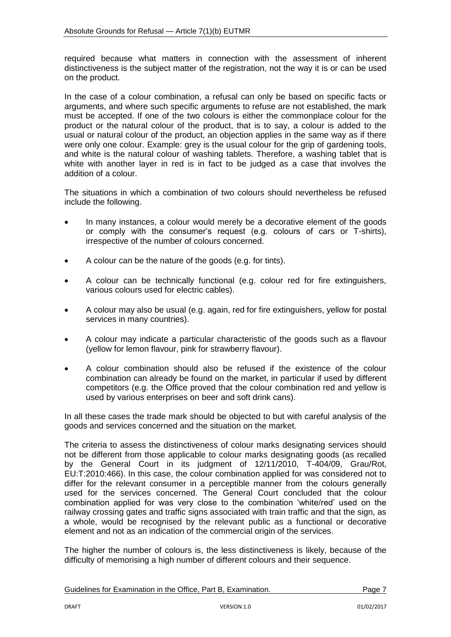required because what matters in connection with the assessment of inherent distinctiveness is the subject matter of the registration, not the way it is or can be used on the product.

In the case of a colour combination, a refusal can only be based on specific facts or arguments, and where such specific arguments to refuse are not established, the mark must be accepted. If one of the two colours is either the commonplace colour for the product or the natural colour of the product, that is to say, a colour is added to the usual or natural colour of the product, an objection applies in the same way as if there were only one colour. Example: grey is the usual colour for the grip of gardening tools, and white is the natural colour of washing tablets. Therefore, a washing tablet that is white with another layer in red is in fact to be judged as a case that involves the addition of a colour.

The situations in which a combination of two colours should nevertheless be refused include the following.

- In many instances, a colour would merely be a decorative element of the goods or comply with the consumer's request (e.g. colours of cars or T-shirts), irrespective of the number of colours concerned.
- A colour can be the nature of the goods (e.g. for tints).
- A colour can be technically functional (e.g. colour red for fire extinguishers, various colours used for electric cables).
- A colour may also be usual (e.g. again, red for fire extinguishers, yellow for postal services in many countries).
- A colour may indicate a particular characteristic of the goods such as a flavour (yellow for lemon flavour, pink for strawberry flavour).
- A colour combination should also be refused if the existence of the colour combination can already be found on the market, in particular if used by different competitors (e.g. the Office proved that the colour combination red and yellow is used by various enterprises on beer and soft drink cans).

In all these cases the trade mark should be objected to but with careful analysis of the goods and services concerned and the situation on the market.

The criteria to assess the distinctiveness of colour marks designating services should not be different from those applicable to colour marks designating goods (as recalled by the General Court in its judgment of 12/11/2010, T-404/09, Grau/Rot, EU:T:2010:466). In this case, the colour combination applied for was considered not to differ for the relevant consumer in a perceptible manner from the colours generally used for the services concerned. The General Court concluded that the colour combination applied for was very close to the combination 'white/red' used on the railway crossing gates and traffic signs associated with train traffic and that the sign, as a whole, would be recognised by the relevant public as a functional or decorative element and not as an indication of the commercial origin of the services.

The higher the number of colours is, the less distinctiveness is likely, because of the difficulty of memorising a high number of different colours and their sequence.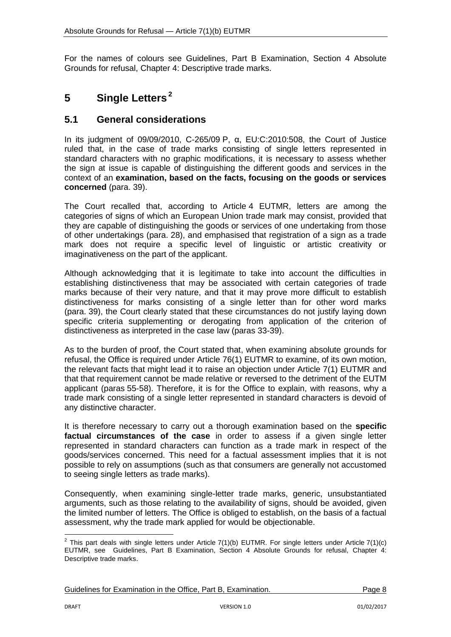For the names of colours see Guidelines, Part B Examination, Section 4 Absolute Grounds for refusal, Chapter 4: Descriptive trade marks.

# <span id="page-7-0"></span>**5 Single Letters<sup>2</sup>**

### <span id="page-7-1"></span>**5.1 General considerations**

In its judgment of 09/09/2010, C-265/09 P, α, EU:C:2010:508, the Court of Justice ruled that, in the case of trade marks consisting of single letters represented in standard characters with no graphic modifications, it is necessary to assess whether the sign at issue is capable of distinguishing the different goods and services in the context of an **examination, based on the facts, focusing on the goods or services concerned** (para. 39).

The Court recalled that, according to Article 4 EUTMR, letters are among the categories of signs of which an European Union trade mark may consist, provided that they are capable of distinguishing the goods or services of one undertaking from those of other undertakings (para. 28), and emphasised that registration of a sign as a trade mark does not require a specific level of linguistic or artistic creativity or imaginativeness on the part of the applicant.

Although acknowledging that it is legitimate to take into account the difficulties in establishing distinctiveness that may be associated with certain categories of trade marks because of their very nature, and that it may prove more difficult to establish distinctiveness for marks consisting of a single letter than for other word marks (para. 39), the Court clearly stated that these circumstances do not justify laying down specific criteria supplementing or derogating from application of the criterion of distinctiveness as interpreted in the case law (paras 33-39).

As to the burden of proof, the Court stated that, when examining absolute grounds for refusal, the Office is required under Article 76(1) EUTMR to examine, of its own motion, the relevant facts that might lead it to raise an objection under Article 7(1) EUTMR and that that requirement cannot be made relative or reversed to the detriment of the EUTM applicant (paras 55-58). Therefore, it is for the Office to explain, with reasons, why a trade mark consisting of a single letter represented in standard characters is devoid of any distinctive character.

It is therefore necessary to carry out a thorough examination based on the **specific factual circumstances of the case** in order to assess if a given single letter represented in standard characters can function as a trade mark in respect of the goods/services concerned. This need for a factual assessment implies that it is not possible to rely on assumptions (such as that consumers are generally not accustomed to seeing single letters as trade marks).

Consequently, when examining single-letter trade marks, generic, unsubstantiated arguments, such as those relating to the availability of signs, should be avoided, given the limited number of letters. The Office is obliged to establish, on the basis of a factual assessment, why the trade mark applied for would be objectionable.

 2 This part deals with single letters under Article 7(1)(b) EUTMR. For single letters under Article 7(1)(c) EUTMR, see Guidelines, Part B Examination, Section 4 Absolute Grounds for refusal, Chapter 4: Descriptive trade marks.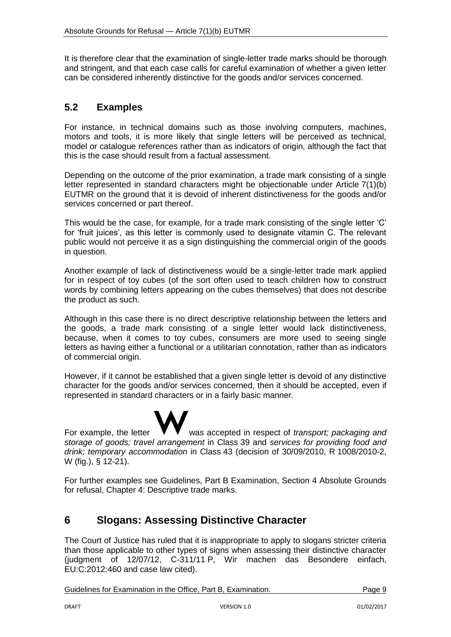It is therefore clear that the examination of single-letter trade marks should be thorough and stringent, and that each case calls for careful examination of whether a given letter can be considered inherently distinctive for the goods and/or services concerned.

### <span id="page-8-0"></span>**5.2 Examples**

For instance, in technical domains such as those involving computers, machines, motors and tools, it is more likely that single letters will be perceived as technical, model or catalogue references rather than as indicators of origin, although the fact that this is the case should result from a factual assessment.

Depending on the outcome of the prior examination, a trade mark consisting of a single letter represented in standard characters might be objectionable under Article 7(1)(b) EUTMR on the ground that it is devoid of inherent distinctiveness for the goods and/or services concerned or part thereof.

This would be the case, for example, for a trade mark consisting of the single letter 'C' for 'fruit juices', as this letter is commonly used to designate vitamin C. The relevant public would not perceive it as a sign distinguishing the commercial origin of the goods in question.

Another example of lack of distinctiveness would be a single-letter trade mark applied for in respect of toy cubes (of the sort often used to teach children how to construct words by combining letters appearing on the cubes themselves) that does not describe the product as such.

Although in this case there is no direct descriptive relationship between the letters and the goods, a trade mark consisting of a single letter would lack distinctiveness, because, when it comes to toy cubes, consumers are more used to seeing single letters as having either a functional or a utilitarian connotation, rather than as indicators of commercial origin.

However, if it cannot be established that a given single letter is devoid of any distinctive character for the goods and/or services concerned, then it should be accepted, even if represented in standard characters or in a fairly basic manner.

For example, the letter  $\mathbf{V} \mathbf{V}$  was accepted in respect of *transport; packaging and storage of goods; travel arrangement* in Class 39 and *services for providing food and drink; temporary accommodation* in Class 43 (decision of 30/09/2010, R 1008/2010-2, W (fig.), § 12-21).

For further examples see Guidelines, Part B Examination, Section 4 Absolute Grounds for refusal, Chapter 4: Descriptive trade marks.

## <span id="page-8-1"></span>**6 Slogans: Assessing Distinctive Character**

The Court of Justice has ruled that it is inappropriate to apply to slogans stricter criteria than those applicable to other types of signs when assessing their distinctive character (judgment of 12/07/12, C-311/11 P, Wir machen das Besondere einfach, EU:C:2012:460 and case law cited).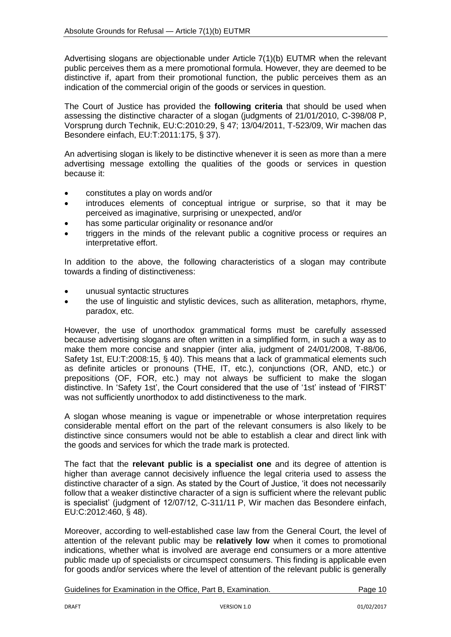Advertising slogans are objectionable under Article 7(1)(b) EUTMR when the relevant public perceives them as a mere promotional formula. However, they are deemed to be distinctive if, apart from their promotional function, the public perceives them as an indication of the commercial origin of the goods or services in question.

The Court of Justice has provided the **following criteria** that should be used when assessing the distinctive character of a slogan (judgments of 21/01/2010, C-398/08 P, Vorsprung durch Technik, EU:C:2010:29, § 47; 13/04/2011, T-523/09, Wir machen das Besondere einfach, EU:T:2011:175, § 37).

An advertising slogan is likely to be distinctive whenever it is seen as more than a mere advertising message extolling the qualities of the goods or services in question because it:

- constitutes a play on words and/or
- introduces elements of conceptual intrigue or surprise, so that it may be perceived as imaginative, surprising or unexpected, and/or
- has some particular originality or resonance and/or
- triggers in the minds of the relevant public a cognitive process or requires an interpretative effort.

In addition to the above, the following characteristics of a slogan may contribute towards a finding of distinctiveness:

- unusual syntactic structures
- the use of linguistic and stylistic devices, such as alliteration, metaphors, rhyme, paradox, etc.

However, the use of unorthodox grammatical forms must be carefully assessed because advertising slogans are often written in a simplified form, in such a way as to make them more concise and snappier (inter alia, judgment of 24/01/2008, T-88/06, Safety 1st, EU:T:2008:15, § 40). This means that a lack of grammatical elements such as definite articles or pronouns (THE, IT, etc.), conjunctions (OR, AND, etc.) or prepositions (OF, FOR, etc.) may not always be sufficient to make the slogan distinctive. In 'Safety 1st', the Court considered that the use of '1st' instead of 'FIRST' was not sufficiently unorthodox to add distinctiveness to the mark.

A slogan whose meaning is vague or impenetrable or whose interpretation requires considerable mental effort on the part of the relevant consumers is also likely to be distinctive since consumers would not be able to establish a clear and direct link with the goods and services for which the trade mark is protected.

The fact that the **relevant public is a specialist one** and its degree of attention is higher than average cannot decisively influence the legal criteria used to assess the distinctive character of a sign. As stated by the Court of Justice, 'it does not necessarily follow that a weaker distinctive character of a sign is sufficient where the relevant public is specialist' (judgment of 12/07/12, C-311/11 P, Wir machen das Besondere einfach, EU:C:2012:460, § 48).

Moreover, according to well-established case law from the General Court, the level of attention of the relevant public may be **relatively low** when it comes to promotional indications, whether what is involved are average end consumers or a more attentive public made up of specialists or circumspect consumers. This finding is applicable even for goods and/or services where the level of attention of the relevant public is generally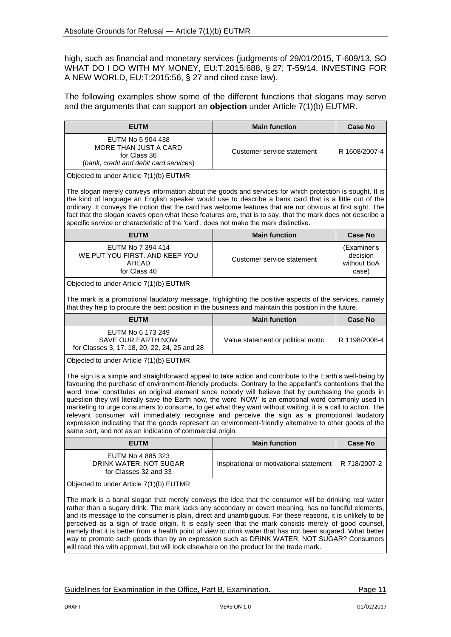high, such as financial and monetary services (judgments of 29/01/2015, T-609/13, SO WHAT DO I DO WITH MY MONEY, EU:T:2015:688, § 27; T-59/14, INVESTING FOR A NEW WORLD, EU:T:2015:56, § 27 and cited case law).

The following examples show some of the different functions that slogans may serve and the arguments that can support an **objection** under Article 7(1)(b) EUTMR.

| <b>EUTM</b>                                                                                                                                                                                                                                                                                                                                                                                                                                                                                                                                                                                                                                                                                                                                                                                                                                                                 | <b>Main function</b>                    | <b>Case No</b>                                  |  |  |
|-----------------------------------------------------------------------------------------------------------------------------------------------------------------------------------------------------------------------------------------------------------------------------------------------------------------------------------------------------------------------------------------------------------------------------------------------------------------------------------------------------------------------------------------------------------------------------------------------------------------------------------------------------------------------------------------------------------------------------------------------------------------------------------------------------------------------------------------------------------------------------|-----------------------------------------|-------------------------------------------------|--|--|
| EUTM No 5 904 438<br>MORE THAN JUST A CARD<br>for Class 36<br>(bank, credit and debit card services)                                                                                                                                                                                                                                                                                                                                                                                                                                                                                                                                                                                                                                                                                                                                                                        | Customer service statement              | R 1608/2007-4                                   |  |  |
| Objected to under Article 7(1)(b) EUTMR                                                                                                                                                                                                                                                                                                                                                                                                                                                                                                                                                                                                                                                                                                                                                                                                                                     |                                         |                                                 |  |  |
| The slogan merely conveys information about the goods and services for which protection is sought. It is<br>the kind of language an English speaker would use to describe a bank card that is a little out of the<br>ordinary. It conveys the notion that the card has welcome features that are not obvious at first sight. The<br>fact that the slogan leaves open what these features are, that is to say, that the mark does not describe a<br>specific service or characteristic of the 'card', does not make the mark distinctive.                                                                                                                                                                                                                                                                                                                                    |                                         |                                                 |  |  |
| <b>EUTM</b>                                                                                                                                                                                                                                                                                                                                                                                                                                                                                                                                                                                                                                                                                                                                                                                                                                                                 | <b>Main function</b>                    | <b>Case No</b>                                  |  |  |
| EUTM No 7 394 414<br>WE PUT YOU FIRST. AND KEEP YOU<br>AHEAD<br>for Class 40                                                                                                                                                                                                                                                                                                                                                                                                                                                                                                                                                                                                                                                                                                                                                                                                | Customer service statement              | (Examiner's<br>decision<br>without BoA<br>case) |  |  |
| Objected to under Article 7(1)(b) EUTMR                                                                                                                                                                                                                                                                                                                                                                                                                                                                                                                                                                                                                                                                                                                                                                                                                                     |                                         |                                                 |  |  |
| The mark is a promotional laudatory message, highlighting the positive aspects of the services, namely<br>that they help to procure the best position in the business and maintain this position in the future.                                                                                                                                                                                                                                                                                                                                                                                                                                                                                                                                                                                                                                                             |                                         |                                                 |  |  |
| <b>EUTM</b>                                                                                                                                                                                                                                                                                                                                                                                                                                                                                                                                                                                                                                                                                                                                                                                                                                                                 | <b>Main function</b>                    | <b>Case No</b>                                  |  |  |
| EUTM No 6 173 249<br>SAVE OUR EARTH NOW<br>for Classes 3, 17, 18, 20, 22, 24, 25 and 28                                                                                                                                                                                                                                                                                                                                                                                                                                                                                                                                                                                                                                                                                                                                                                                     | Value statement or political motto      | R 1198/2008-4                                   |  |  |
| Objected to under Article 7(1)(b) EUTMR<br>The sign is a simple and straightforward appeal to take action and contribute to the Earth's well-being by<br>favouring the purchase of environment-friendly products. Contrary to the appellant's contentions that the<br>word 'now' constitutes an original element since nobody will believe that by purchasing the goods in<br>question they will literally save the Earth now, the word 'NOW' is an emotional word commonly used in<br>marketing to urge consumers to consume, to get what they want without waiting; it is a call to action. The<br>relevant consumer will immediately recognise and perceive the sign as a promotional laudatory<br>expression indicating that the goods represent an environment-friendly alternative to other goods of the<br>same sort, and not as an indication of commercial origin. |                                         |                                                 |  |  |
| <b>EUTM</b>                                                                                                                                                                                                                                                                                                                                                                                                                                                                                                                                                                                                                                                                                                                                                                                                                                                                 | <b>Main function</b>                    | <b>Case No</b>                                  |  |  |
| EUTM No 4 885 323<br>DRINK WATER, NOT SUGAR<br>for Classes 32 and 33                                                                                                                                                                                                                                                                                                                                                                                                                                                                                                                                                                                                                                                                                                                                                                                                        | Inspirational or motivational statement | R 718/2007-2                                    |  |  |
| Objected to under Article 7(1)(b) EUTMR<br>The mark is a banal slogan that merely conveys the idea that the consumer will be drinking real water<br>rather than a sugary drink. The mark lacks any secondary or covert meaning, has no fanciful elements,<br>and its message to the consumer is plain, direct and unambiguous. For these reasons, it is unlikely to be                                                                                                                                                                                                                                                                                                                                                                                                                                                                                                      |                                         |                                                 |  |  |

perceived as a sign of trade origin. It is easily seen that the mark consists merely of good counsel, namely that it is better from a health point of view to drink water that has not been sugared. What better way to promote such goods than by an expression such as DRINK WATER, NOT SUGAR? Consumers will read this with approval, but will look elsewhere on the product for the trade mark.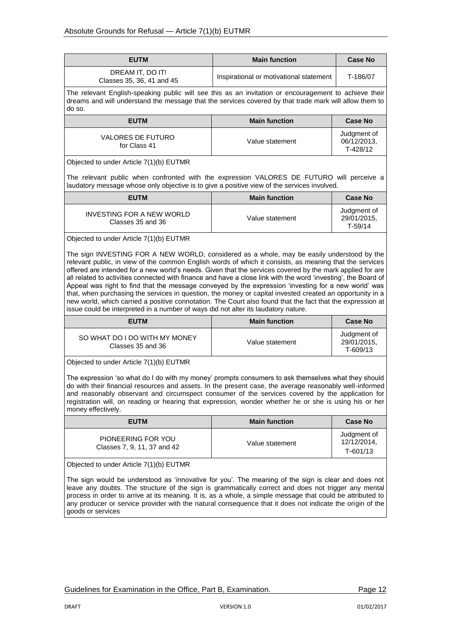| <b>EUTM</b>                                                                                                                                                                                                               | <b>Main function</b>                    | <b>Case No</b>                         |  |  |
|---------------------------------------------------------------------------------------------------------------------------------------------------------------------------------------------------------------------------|-----------------------------------------|----------------------------------------|--|--|
| DREAM IT, DO IT!<br>Classes 35, 36, 41 and 45                                                                                                                                                                             | Inspirational or motivational statement | T-186/07                               |  |  |
| The relevant English-speaking public will see this as an invitation or encouragement to achieve their<br>dreams and will understand the message that the services covered by that trade mark will allow them to<br>do so. |                                         |                                        |  |  |
| <b>Main function</b><br><b>EUTM</b><br><b>Case No</b>                                                                                                                                                                     |                                         |                                        |  |  |
| <b>VALORES DE FUTURO</b><br>for Class 41                                                                                                                                                                                  | Value statement                         | Judgment of<br>06/12/2013,<br>T-428/12 |  |  |
| Objected to under Article 7(1)(b) EUTMR                                                                                                                                                                                   |                                         |                                        |  |  |

The relevant public when confronted with the expression VALORES DE FUTURO will perceive a laudatory message whose only objective is to give a positive view of the services involved.

| <b>EUTM</b>                                    | <b>Main function</b> | <b>Case No</b>                          |
|------------------------------------------------|----------------------|-----------------------------------------|
| INVESTING FOR A NEW WORLD<br>Classes 35 and 36 | Value statement      | Judgment of<br>29/01/2015,<br>$T-59/14$ |

#### Objected to under Article 7(1)(b) EUTMR

The sign INVESTING FOR A NEW WORLD, considered as a whole, may be easily understood by the relevant public, in view of the common English words of which it consists, as meaning that the services offered are intended for a new world's needs. Given that the services covered by the mark applied for are all related to activities connected with finance and have a close link with the word 'investing', the Board of Appeal was right to find that the message conveyed by the expression 'investing for a new world' was that, when purchasing the services in question, the money or capital invested created an opportunity in a new world, which carried a positive connotation. The Court also found that the fact that the expression at issue could be interpreted in a number of ways did not alter its laudatory nature.

| <b>EUTM</b>                                        | <b>Main function</b> | Case No                                |
|----------------------------------------------------|----------------------|----------------------------------------|
| SO WHAT DO I DO WITH MY MONEY<br>Classes 35 and 36 | Value statement      | Judgment of<br>29/01/2015.<br>T-609/13 |

Objected to under Article 7(1)(b) EUTMR

The expression 'so what do I do with my money' prompts consumers to ask themselves what they should do with their financial resources and assets. In the present case, the average reasonably well-informed and reasonably observant and circumspect consumer of the services covered by the application for registration will, on reading or hearing that expression, wonder whether he or she is using his or her money effectively.

| <b>EUTM</b>                                       | <b>Main function</b> | <b>Case No</b>                         |
|---------------------------------------------------|----------------------|----------------------------------------|
| PIONEERING FOR YOU<br>Classes 7, 9, 11, 37 and 42 | Value statement      | Judgment of<br>12/12/2014.<br>T-601/13 |

Objected to under Article 7(1)(b) EUTMR

The sign would be understood as 'innovative for you'. The meaning of the sign is clear and does not leave any doubts. The structure of the sign is grammatically correct and does not trigger any mental process in order to arrive at its meaning. It is, as a whole, a simple message that could be attributed to any producer or service provider with the natural consequence that it does not indicate the origin of the goods or services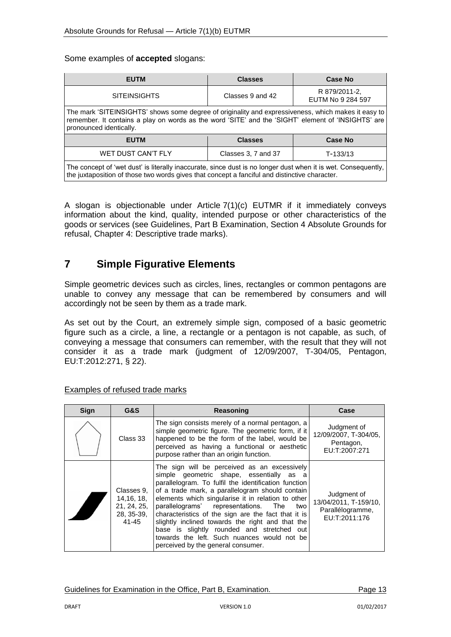#### Some examples of **accepted** slogans:

| <b>EUTM</b>                                                                                                                                                                                                                          | <b>Classes</b>                   | Case No                            |  |  |  |
|--------------------------------------------------------------------------------------------------------------------------------------------------------------------------------------------------------------------------------------|----------------------------------|------------------------------------|--|--|--|
| <b>SITEINSIGHTS</b>                                                                                                                                                                                                                  | Classes 9 and 42                 | R 879/2011-2,<br>EUTM No 9 284 597 |  |  |  |
| The mark 'SITEINSIGHTS' shows some degree of originality and expressiveness, which makes it easy to<br>remember. It contains a play on words as the word 'SITE' and the 'SIGHT' element of 'INSIGHTS' are<br>pronounced identically. |                                  |                                    |  |  |  |
| <b>EUTM</b>                                                                                                                                                                                                                          | <b>Classes</b><br><b>Case No</b> |                                    |  |  |  |
| <b>WET DUST CAN'T FLY</b><br>Classes 3, 7 and 37<br>$T-133/13$                                                                                                                                                                       |                                  |                                    |  |  |  |
| The concept of 'wet dust' is literally inaccurate, since dust is no longer dust when it is wet. Consequently,<br>the juxtaposition of those two words gives that concept a fanciful and distinctive character.                       |                                  |                                    |  |  |  |

A slogan is objectionable under Article 7(1)(c) EUTMR if it immediately conveys information about the kind, quality, intended purpose or other characteristics of the goods or services (see Guidelines, Part B Examination, Section 4 Absolute Grounds for refusal, Chapter 4: Descriptive trade marks).

## <span id="page-12-0"></span>**7 Simple Figurative Elements**

Simple geometric devices such as circles, lines, rectangles or common pentagons are unable to convey any message that can be remembered by consumers and will accordingly not be seen by them as a trade mark.

As set out by the Court, an extremely simple sign, composed of a basic geometric figure such as a circle, a line, a rectangle or a pentagon is not capable, as such, of conveying a message that consumers can remember, with the result that they will not consider it as a trade mark (judgment of 12/09/2007, T-304/05, Pentagon, EU:T:2012:271, § 22).

| Sign | G&S                                                             | Reasoning                                                                                                                                                                                                                                                                                                                                                                                                                                                                                                                                              | Case                                                                      |
|------|-----------------------------------------------------------------|--------------------------------------------------------------------------------------------------------------------------------------------------------------------------------------------------------------------------------------------------------------------------------------------------------------------------------------------------------------------------------------------------------------------------------------------------------------------------------------------------------------------------------------------------------|---------------------------------------------------------------------------|
|      | Class 33                                                        | The sign consists merely of a normal pentagon, a<br>simple geometric figure. The geometric form, if it<br>happened to be the form of the label, would be<br>perceived as having a functional or aesthetic<br>purpose rather than an origin function.                                                                                                                                                                                                                                                                                                   | Judgment of<br>12/09/2007, T-304/05,<br>Pentagon,<br>EU:T:2007:271        |
|      | Classes 9,<br>14, 16, 18,<br>21, 24, 25,<br>28, 35-39,<br>41-45 | The sign will be perceived as an excessively<br>simple geometric shape, essentially as a<br>parallelogram. To fulfil the identification function<br>of a trade mark, a parallelogram should contain<br>elements which singularise it in relation to other<br>parallelograms' representations. The<br>two<br>characteristics of the sign are the fact that it is<br>slightly inclined towards the right and that the<br>base is slightly rounded and stretched out<br>towards the left. Such nuances would not be<br>perceived by the general consumer. | Judgment of<br>13/04/2011, T-159/10,<br>Parallélogramme,<br>EU:T:2011:176 |

#### Examples of refused trade marks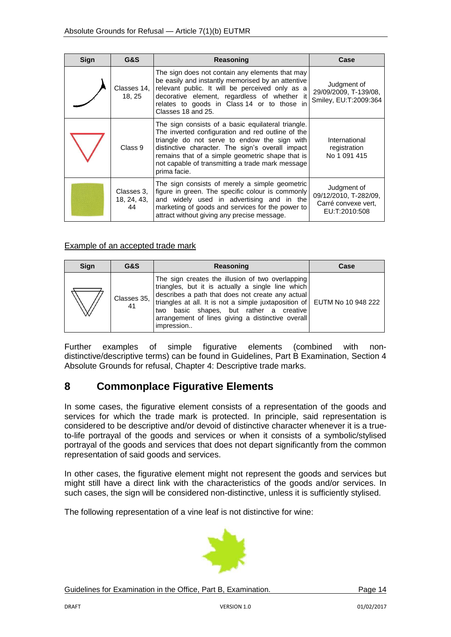| Sign | G&S                             | <b>Reasoning</b>                                                                                                                                                                                                                                                                                                                    | Case                                                                         |
|------|---------------------------------|-------------------------------------------------------------------------------------------------------------------------------------------------------------------------------------------------------------------------------------------------------------------------------------------------------------------------------------|------------------------------------------------------------------------------|
|      | Classes 14,<br>18, 25           | The sign does not contain any elements that may<br>be easily and instantly memorised by an attentive<br>relevant public. It will be perceived only as a<br>decorative element, regardless of whether it<br>relates to goods in Class 14 or to those in<br>Classes 18 and 25.                                                        | Judgment of<br>29/09/2009, T-139/08,<br>Smiley, EU:T:2009:364                |
|      | Class 9                         | The sign consists of a basic equilateral triangle.<br>The inverted configuration and red outline of the<br>triangle do not serve to endow the sign with<br>distinctive character. The sign's overall impact<br>remains that of a simple geometric shape that is<br>not capable of transmitting a trade mark message<br>prima facie. | International<br>registration<br>No 1 091 415                                |
|      | Classes 3,<br>18, 24, 43,<br>44 | The sign consists of merely a simple geometric<br>figure in green. The specific colour is commonly<br>and widely used in advertising and in the<br>marketing of goods and services for the power to<br>attract without giving any precise message.                                                                                  | Judgment of<br>09/12/2010, T-282/09,<br>Carré convexe vert,<br>EU:T:2010:508 |

#### Example of an accepted trade mark

| <b>Sign</b> | G&S               | Reasoning                                                                                                                                                                                                                                                                                                                                           | Case |
|-------------|-------------------|-----------------------------------------------------------------------------------------------------------------------------------------------------------------------------------------------------------------------------------------------------------------------------------------------------------------------------------------------------|------|
|             | Classes 35,<br>41 | The sign creates the illusion of two overlapping<br>triangles, but it is actually a single line which<br>describes a path that does not create any actual<br>triangles at all. It is not a simple juxtaposition of EUTM No 10 948 222<br>two basic shapes, but rather a creative<br>arrangement of lines giving a distinctive overall<br>impression |      |

Further examples of simple figurative elements (combined with nondistinctive/descriptive terms) can be found in Guidelines, Part B Examination, Section 4 Absolute Grounds for refusal, Chapter 4: Descriptive trade marks.

# <span id="page-13-0"></span>**8 Commonplace Figurative Elements**

In some cases, the figurative element consists of a representation of the goods and services for which the trade mark is protected. In principle, said representation is considered to be descriptive and/or devoid of distinctive character whenever it is a trueto-life portrayal of the goods and services or when it consists of a symbolic/stylised portrayal of the goods and services that does not depart significantly from the common representation of said goods and services.

In other cases, the figurative element might not represent the goods and services but might still have a direct link with the characteristics of the goods and/or services. In such cases, the sign will be considered non-distinctive, unless it is sufficiently stylised.

The following representation of a vine leaf is not distinctive for wine:

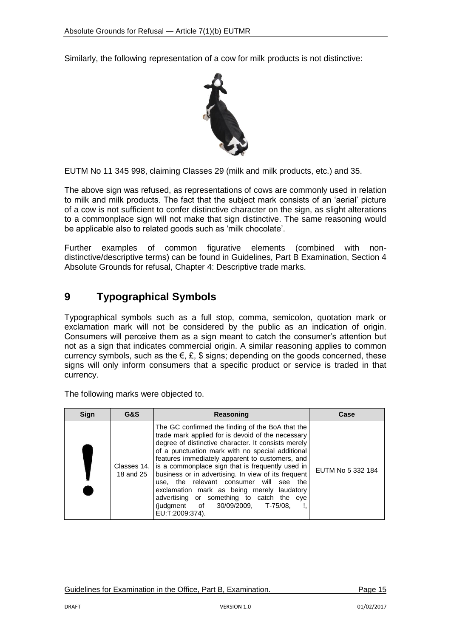Similarly, the following representation of a cow for milk products is not distinctive:



EUTM No 11 345 998, claiming Classes 29 (milk and milk products, etc.) and 35.

The above sign was refused, as representations of cows are commonly used in relation to milk and milk products. The fact that the subject mark consists of an 'aerial' picture of a cow is not sufficient to confer distinctive character on the sign, as slight alterations to a commonplace sign will not make that sign distinctive. The same reasoning would be applicable also to related goods such as 'milk chocolate'.

Further examples of common figurative elements (combined with nondistinctive/descriptive terms) can be found in Guidelines, Part B Examination, Section 4 Absolute Grounds for refusal, Chapter 4: Descriptive trade marks.

# <span id="page-14-0"></span>**9 Typographical Symbols**

Typographical symbols such as a full stop, comma, semicolon, quotation mark or exclamation mark will not be considered by the public as an indication of origin. Consumers will perceive them as a sign meant to catch the consumer's attention but not as a sign that indicates commercial origin. A similar reasoning applies to common currency symbols, such as the  $\epsilon$ ,  $\epsilon$ ,  $\epsilon$  signs; depending on the goods concerned, these signs will only inform consumers that a specific product or service is traded in that currency.

The following marks were objected to.

| <b>Sign</b> | G&S | Reasoning                                                                                                                                                                                                                                                                                                                                                                                                                                                                                                                                                                                            | Case              |
|-------------|-----|------------------------------------------------------------------------------------------------------------------------------------------------------------------------------------------------------------------------------------------------------------------------------------------------------------------------------------------------------------------------------------------------------------------------------------------------------------------------------------------------------------------------------------------------------------------------------------------------------|-------------------|
|             |     | The GC confirmed the finding of the BoA that the<br>trade mark applied for is devoid of the necessary<br>degree of distinctive character. It consists merely<br>of a punctuation mark with no special additional<br>features immediately apparent to customers, and<br>Classes 14, is a commonplace sign that is frequently used in<br>18 and 25   business or in advertising. In view of its frequent<br>use, the relevant consumer will see the<br>exclamation mark as being merely laudatory<br>advertising or something to catch the eye<br>(judgment of 30/09/2009, T-75/08,<br>EU:T:2009:374). | EUTM No 5 332 184 |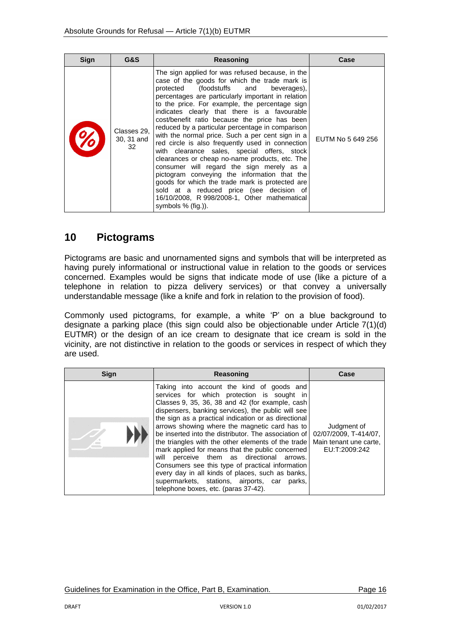| Sign | G&S                             | Reasoning                                                                                                                                                                                                                                                                                                                                                                                                                                                                                                                                                                                                                                                                                                                                                                                                                                                                             | Case              |
|------|---------------------------------|---------------------------------------------------------------------------------------------------------------------------------------------------------------------------------------------------------------------------------------------------------------------------------------------------------------------------------------------------------------------------------------------------------------------------------------------------------------------------------------------------------------------------------------------------------------------------------------------------------------------------------------------------------------------------------------------------------------------------------------------------------------------------------------------------------------------------------------------------------------------------------------|-------------------|
|      | Classes 29,<br>30, 31 and<br>32 | The sign applied for was refused because, in the<br>case of the goods for which the trade mark is<br>protected (foodstuffs and beverages).<br>percentages are particularly important in relation<br>to the price. For example, the percentage sign<br>indicates clearly that there is a favourable<br>cost/benefit ratio because the price has been<br>reduced by a particular percentage in comparison<br>with the normal price. Such a per cent sign in a<br>red circle is also frequently used in connection<br>with clearance sales, special offers, stock<br>clearances or cheap no-name products, etc. The<br>consumer will regard the sign merely as a<br>pictogram conveying the information that the<br>goods for which the trade mark is protected are<br>sold at a reduced price (see decision of<br>16/10/2008, R 998/2008-1, Other mathematical<br>symbols $% (fiq.)$ ). | EUTM No 5 649 256 |

# <span id="page-15-0"></span>**10 Pictograms**

Pictograms are basic and unornamented signs and symbols that will be interpreted as having purely informational or instructional value in relation to the goods or services concerned. Examples would be signs that indicate mode of use (like a picture of a telephone in relation to pizza delivery services) or that convey a universally understandable message (like a knife and fork in relation to the provision of food).

Commonly used pictograms, for example, a white 'P' on a blue background to designate a parking place (this sign could also be objectionable under Article 7(1)(d) EUTMR) or the design of an ice cream to designate that ice cream is sold in the vicinity, are not distinctive in relation to the goods or services in respect of which they are used.

| <b>Sign</b> | Reasoning                                                                                                                                                                                                                                                                                                                                                                                                                                                                                                                                                                                                                                                                                                                | Case                                                                            |
|-------------|--------------------------------------------------------------------------------------------------------------------------------------------------------------------------------------------------------------------------------------------------------------------------------------------------------------------------------------------------------------------------------------------------------------------------------------------------------------------------------------------------------------------------------------------------------------------------------------------------------------------------------------------------------------------------------------------------------------------------|---------------------------------------------------------------------------------|
|             | Taking into account the kind of goods and<br>services for which protection is sought in<br>Classes 9, 35, 36, 38 and 42 (for example, cash<br>dispensers, banking services), the public will see<br>the sign as a practical indication or as directional<br>arrows showing where the magnetic card has to<br>be inserted into the distributor. The association of<br>the triangles with the other elements of the trade<br>mark applied for means that the public concerned<br>will perceive them as directional arrows.<br>Consumers see this type of practical information<br>every day in all kinds of places, such as banks,<br>supermarkets, stations, airports, car parks,<br>telephone boxes, etc. (paras 37-42). | Judgment of<br>02/07/2009, T-414/07,<br>Main tenant une carte.<br>EU:T:2009:242 |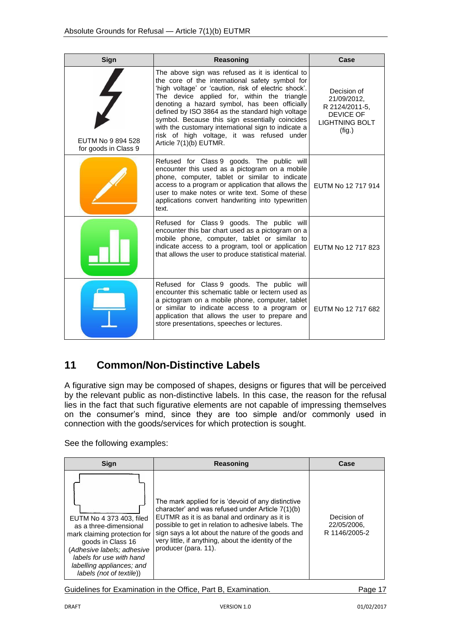| Sign                                      | Reasoning                                                                                                                                                                                                                                                                                                                                                                                                                                                                                         | Case                                                                                                |
|-------------------------------------------|---------------------------------------------------------------------------------------------------------------------------------------------------------------------------------------------------------------------------------------------------------------------------------------------------------------------------------------------------------------------------------------------------------------------------------------------------------------------------------------------------|-----------------------------------------------------------------------------------------------------|
| EUTM No 9 894 528<br>for goods in Class 9 | The above sign was refused as it is identical to<br>the core of the international safety symbol for<br>'high voltage' or 'caution, risk of electric shock'.<br>The device applied for, within the triangle<br>denoting a hazard symbol, has been officially<br>defined by ISO 3864 as the standard high voltage<br>symbol. Because this sign essentially coincides<br>with the customary international sign to indicate a<br>risk of high voltage, it was refused under<br>Article 7(1)(b) EUTMR. | Decision of<br>21/09/2012,<br>R 2124/2011-5,<br><b>DEVICE OF</b><br><b>LIGHTNING BOLT</b><br>(fig.) |
|                                           | Refused for Class 9 goods. The public will<br>encounter this used as a pictogram on a mobile<br>phone, computer, tablet or similar to indicate<br>access to a program or application that allows the<br>user to make notes or write text. Some of these<br>applications convert handwriting into typewritten<br>text.                                                                                                                                                                             | EUTM No 12 717 914                                                                                  |
|                                           | Refused for Class 9 goods. The public will<br>encounter this bar chart used as a pictogram on a<br>mobile phone, computer, tablet or similar to<br>indicate access to a program, tool or application<br>that allows the user to produce statistical material.                                                                                                                                                                                                                                     | EUTM No 12 717 823                                                                                  |
|                                           | Refused for Class 9 goods. The public will<br>encounter this schematic table or lectern used as<br>a pictogram on a mobile phone, computer, tablet<br>or similar to indicate access to a program or<br>application that allows the user to prepare and<br>store presentations, speeches or lectures.                                                                                                                                                                                              | EUTM No 12 717 682                                                                                  |

# <span id="page-16-0"></span>**11 Common/Non-Distinctive Labels**

A figurative sign may be composed of shapes, designs or figures that will be perceived by the relevant public as non-distinctive labels. In this case, the reason for the refusal lies in the fact that such figurative elements are not capable of impressing themselves on the consumer's mind, since they are too simple and/or commonly used in connection with the goods/services for which protection is sought.

See the following examples:

| Sian                                                                                                                                                                                                                       | Reasoning                                                                                                                                                                                                                                                                                                                                          | Case                                        |
|----------------------------------------------------------------------------------------------------------------------------------------------------------------------------------------------------------------------------|----------------------------------------------------------------------------------------------------------------------------------------------------------------------------------------------------------------------------------------------------------------------------------------------------------------------------------------------------|---------------------------------------------|
| EUTM No 4 373 403, filed<br>as a three-dimensional<br>mark claiming protection for<br>goods in Class 16<br>(Adhesive labels; adhesive<br>labels for use with hand<br>labelling appliances; and<br>labels (not of textile)) | The mark applied for is 'devoid of any distinctive<br>character' and was refused under Article 7(1)(b)<br>EUTMR as it is as banal and ordinary as it is<br>possible to get in relation to adhesive labels. The<br>sign says a lot about the nature of the goods and<br>very little, if anything, about the identity of the<br>producer (para, 11). | Decision of<br>22/05/2006.<br>R 1146/2005-2 |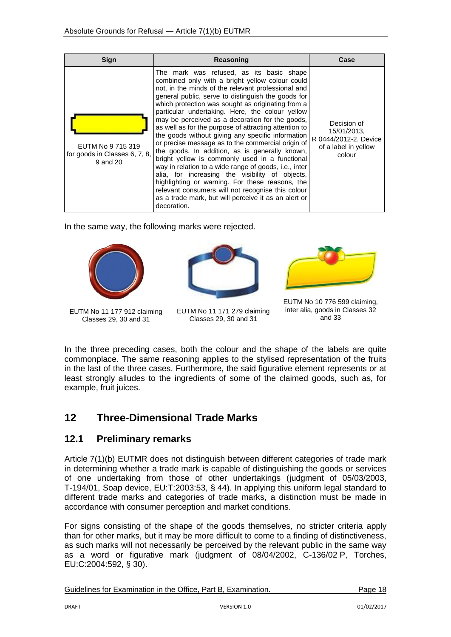| Sign                                                           | Reasoning                                                                                                                                                                                                                                                                                                                                                                                                                                                                                                                                                                                                                                                                                                                                                                                                                                                                                                                            | Case                                                                                  |
|----------------------------------------------------------------|--------------------------------------------------------------------------------------------------------------------------------------------------------------------------------------------------------------------------------------------------------------------------------------------------------------------------------------------------------------------------------------------------------------------------------------------------------------------------------------------------------------------------------------------------------------------------------------------------------------------------------------------------------------------------------------------------------------------------------------------------------------------------------------------------------------------------------------------------------------------------------------------------------------------------------------|---------------------------------------------------------------------------------------|
| EUTM No 9 715 319<br>for goods in Classes 6, 7, 8,<br>9 and 20 | The mark was refused, as its basic shape<br>combined only with a bright yellow colour could<br>not, in the minds of the relevant professional and<br>general public, serve to distinguish the goods for<br>which protection was sought as originating from a<br>particular undertaking. Here, the colour yellow<br>may be perceived as a decoration for the goods,<br>as well as for the purpose of attracting attention to<br>the goods without giving any specific information<br>or precise message as to the commercial origin of<br>the goods. In addition, as is generally known,<br>bright yellow is commonly used in a functional<br>way in relation to a wide range of goods, i.e., inter<br>alia, for increasing the visibility of objects,<br>highlighting or warning. For these reasons, the<br>relevant consumers will not recognise this colour<br>as a trade mark, but will perceive it as an alert or<br>decoration. | Decision of<br>15/01/2013,<br>R 0444/2012-2, Device<br>of a label in yellow<br>colour |

In the same way, the following marks were rejected.





EUTM No 11 177 912 claiming Classes 29, 30 and 31

EUTM No 11 171 279 claiming Classes 29, 30 and 31



EUTM No 10 776 599 claiming, inter alia, goods in Classes 32 and 33

In the three preceding cases, both the colour and the shape of the labels are quite commonplace. The same reasoning applies to the stylised representation of the fruits in the last of the three cases. Furthermore, the said figurative element represents or at least strongly alludes to the ingredients of some of the claimed goods, such as, for example, fruit juices.

# <span id="page-17-0"></span>**12 Three-Dimensional Trade Marks**

### <span id="page-17-1"></span>**12.1 Preliminary remarks**

Article 7(1)(b) EUTMR does not distinguish between different categories of trade mark in determining whether a trade mark is capable of distinguishing the goods or services of one undertaking from those of other undertakings (judgment of 05/03/2003, T-194/01, Soap device, EU:T:2003:53, § 44). In applying this uniform legal standard to different trade marks and categories of trade marks, a distinction must be made in accordance with consumer perception and market conditions.

For signs consisting of the shape of the goods themselves, no stricter criteria apply than for other marks, but it may be more difficult to come to a finding of distinctiveness, as such marks will not necessarily be perceived by the relevant public in the same way as a word or figurative mark (judgment of 08/04/2002, C-136/02 P, Torches, EU:C:2004:592, § 30).

| Guidelines for Examination in the Office, Part B, Examination. |         |
|----------------------------------------------------------------|---------|
|                                                                | Page 18 |
|                                                                |         |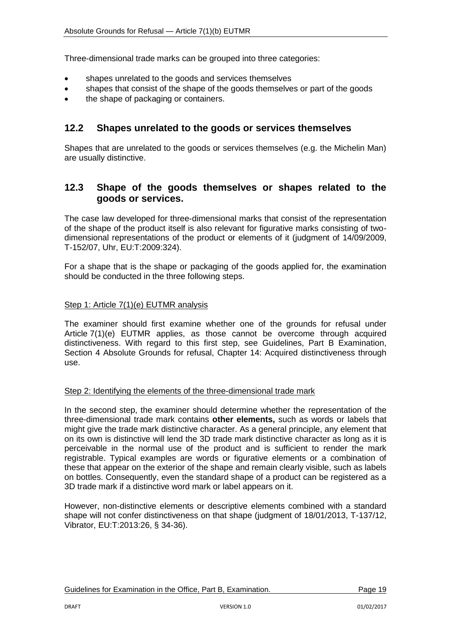Three-dimensional trade marks can be grouped into three categories:

- shapes unrelated to the goods and services themselves
- shapes that consist of the shape of the goods themselves or part of the goods
- the shape of packaging or containers.

### <span id="page-18-0"></span>**12.2 Shapes unrelated to the goods or services themselves**

Shapes that are unrelated to the goods or services themselves (e.g. the Michelin Man) are usually distinctive.

### <span id="page-18-1"></span>**12.3 Shape of the goods themselves or shapes related to the goods or services.**

The case law developed for three-dimensional marks that consist of the representation of the shape of the product itself is also relevant for figurative marks consisting of twodimensional representations of the product or elements of it (judgment of 14/09/2009, T-152/07, Uhr, EU:T:2009:324).

For a shape that is the shape or packaging of the goods applied for, the examination should be conducted in the three following steps.

#### Step 1: Article 7(1)(e) EUTMR analysis

The examiner should first examine whether one of the grounds for refusal under Article 7(1)(e) EUTMR applies, as those cannot be overcome through acquired distinctiveness. With regard to this first step, see Guidelines, Part B Examination, Section 4 Absolute Grounds for refusal, Chapter 14: Acquired distinctiveness through use.

#### Step 2: Identifying the elements of the three-dimensional trade mark

In the second step, the examiner should determine whether the representation of the three-dimensional trade mark contains **other elements,** such as words or labels that might give the trade mark distinctive character. As a general principle, any element that on its own is distinctive will lend the 3D trade mark distinctive character as long as it is perceivable in the normal use of the product and is sufficient to render the mark registrable. Typical examples are words or figurative elements or a combination of these that appear on the exterior of the shape and remain clearly visible, such as labels on bottles. Consequently, even the standard shape of a product can be registered as a 3D trade mark if a distinctive word mark or label appears on it.

However, non-distinctive elements or descriptive elements combined with a standard shape will not confer distinctiveness on that shape (judgment of 18/01/2013, T-137/12, Vibrator, EU:T:2013:26, § 34-36).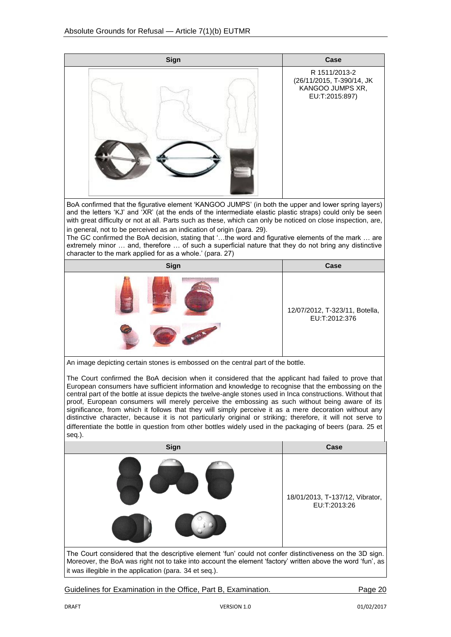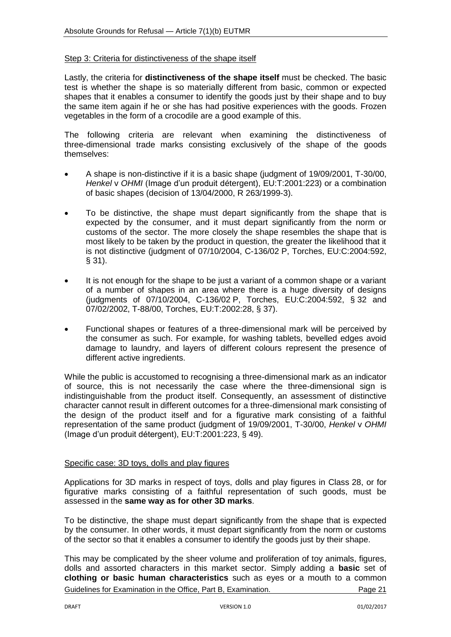#### Step 3: Criteria for distinctiveness of the shape itself

Lastly, the criteria for **distinctiveness of the shape itself** must be checked. The basic test is whether the shape is so materially different from basic, common or expected shapes that it enables a consumer to identify the goods just by their shape and to buy the same item again if he or she has had positive experiences with the goods. Frozen vegetables in the form of a crocodile are a good example of this.

The following criteria are relevant when examining the distinctiveness of three-dimensional trade marks consisting exclusively of the shape of the goods themselves:

- A shape is non-distinctive if it is a basic shape (judgment of 19/09/2001, T-30/00, *Henkel* v *OHMI* (Image d'un produit détergent), EU:T:2001:223) or a combination of basic shapes (decision of 13/04/2000, R 263/1999-3).
- To be distinctive, the shape must depart significantly from the shape that is expected by the consumer, and it must depart significantly from the norm or customs of the sector. The more closely the shape resembles the shape that is most likely to be taken by the product in question, the greater the likelihood that it is not distinctive (judgment of 07/10/2004, C-136/02 P, Torches, EU:C:2004:592, § 31).
- It is not enough for the shape to be just a variant of a common shape or a variant of a number of shapes in an area where there is a huge diversity of designs (judgments of 07/10/2004, C-136/02 P, Torches, EU:C:2004:592, § 32 and 07/02/2002, T-88/00, Torches, EU:T:2002:28, § 37).
- Functional shapes or features of a three-dimensional mark will be perceived by the consumer as such. For example, for washing tablets, bevelled edges avoid damage to laundry, and layers of different colours represent the presence of different active ingredients.

While the public is accustomed to recognising a three-dimensional mark as an indicator of source, this is not necessarily the case where the three-dimensional sign is indistinguishable from the product itself. Consequently, an assessment of distinctive character cannot result in different outcomes for a three-dimensional mark consisting of the design of the product itself and for a figurative mark consisting of a faithful representation of the same product (judgment of 19/09/2001, T-30/00, *Henkel* v *OHMI* (Image d'un produit détergent), EU:T:2001:223, § 49).

#### Specific case: 3D toys, dolls and play figures

Applications for 3D marks in respect of toys, dolls and play figures in Class 28, or for figurative marks consisting of a faithful representation of such goods, must be assessed in the **same way as for other 3D marks**.

To be distinctive, the shape must depart significantly from the shape that is expected by the consumer. In other words, it must depart significantly from the norm or customs of the sector so that it enables a consumer to identify the goods just by their shape.

Guidelines for Examination in the Office, Part B, Examination. The example of the Page 21 This may be complicated by the sheer volume and proliferation of toy animals, figures, dolls and assorted characters in this market sector. Simply adding a **basic** set of **clothing or basic human characteristics** such as eyes or a mouth to a common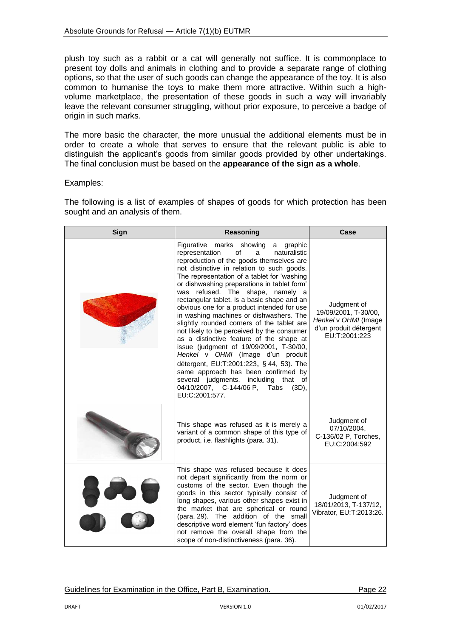plush toy such as a rabbit or a cat will generally not suffice. It is commonplace to present toy dolls and animals in clothing and to provide a separate range of clothing options, so that the user of such goods can change the appearance of the toy. It is also common to humanise the toys to make them more attractive. Within such a highvolume marketplace, the presentation of these goods in such a way will invariably leave the relevant consumer struggling, without prior exposure, to perceive a badge of origin in such marks.

The more basic the character, the more unusual the additional elements must be in order to create a whole that serves to ensure that the relevant public is able to distinguish the applicant's goods from similar goods provided by other undertakings. The final conclusion must be based on the **appearance of the sign as a whole**.

#### Examples:

The following is a list of examples of shapes of goods for which protection has been sought and an analysis of them.

| Sign | Reasoning                                                                                                                                                                                                                                                                                                                                                                                                                                                                                                                                                                                                                                                                                                                                                                                                                                                                     | Case                                                                                                   |
|------|-------------------------------------------------------------------------------------------------------------------------------------------------------------------------------------------------------------------------------------------------------------------------------------------------------------------------------------------------------------------------------------------------------------------------------------------------------------------------------------------------------------------------------------------------------------------------------------------------------------------------------------------------------------------------------------------------------------------------------------------------------------------------------------------------------------------------------------------------------------------------------|--------------------------------------------------------------------------------------------------------|
|      | Figurative marks showing<br>graphic<br>a<br>representation<br>οf<br>naturalistic<br>a<br>reproduction of the goods themselves are<br>not distinctive in relation to such goods.<br>The representation of a tablet for 'washing<br>or dishwashing preparations in tablet form'<br>was refused. The shape, namely a<br>rectangular tablet, is a basic shape and an<br>obvious one for a product intended for use<br>in washing machines or dishwashers. The<br>slightly rounded corners of the tablet are<br>not likely to be perceived by the consumer<br>as a distinctive feature of the shape at<br>issue (judgment of 19/09/2001, T-30/00,<br>Henkel v OHMI (Image d'un produit<br>détergent, EU:T:2001:223, § 44, 53). The<br>same approach has been confirmed by<br>several judgments, including<br>that of<br>04/10/2007, C-144/06 P, Tabs<br>$(3D)$ ,<br>EU:C:2001:577. | Judgment of<br>19/09/2001, T-30/00,<br>Henkel v OHMI (Image<br>d'un produit détergent<br>EU:T:2001:223 |
|      | This shape was refused as it is merely a<br>variant of a common shape of this type of<br>product, i.e. flashlights (para. 31).                                                                                                                                                                                                                                                                                                                                                                                                                                                                                                                                                                                                                                                                                                                                                | Judgment of<br>07/10/2004,<br>C-136/02 P, Torches,<br>EU:C:2004:592                                    |
|      | This shape was refused because it does<br>not depart significantly from the norm or<br>customs of the sector. Even though the<br>goods in this sector typically consist of<br>long shapes, various other shapes exist in<br>the market that are spherical or round<br>(para. 29). The addition of the small<br>descriptive word element 'fun factory' does<br>not remove the overall shape from the<br>scope of non-distinctiveness (para. 36).                                                                                                                                                                                                                                                                                                                                                                                                                               | Judgment of<br>18/01/2013, T-137/12,<br>Vibrator, EU:T:2013:26.                                        |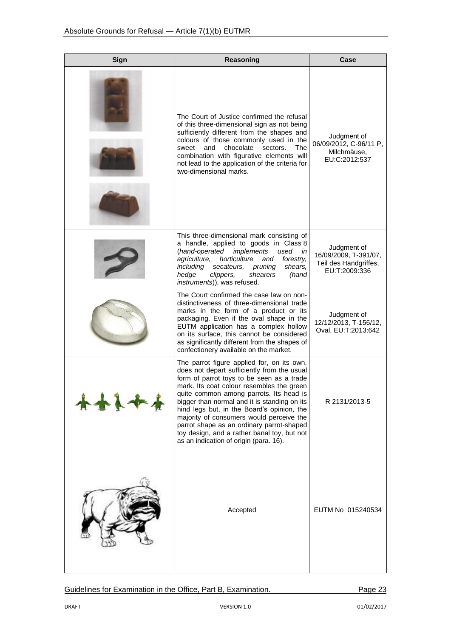| Sign | Reasoning                                                                                                                                                                                                                                                                                                                                                                                                                                                                                                      | Case                                                                           |
|------|----------------------------------------------------------------------------------------------------------------------------------------------------------------------------------------------------------------------------------------------------------------------------------------------------------------------------------------------------------------------------------------------------------------------------------------------------------------------------------------------------------------|--------------------------------------------------------------------------------|
|      | The Court of Justice confirmed the refusal<br>of this three-dimensional sign as not being<br>sufficiently different from the shapes and<br>colours of those commonly used in the<br>chocolate<br>sweet<br>and<br>sectors.<br>The<br>combination with figurative elements will<br>not lead to the application of the criteria for<br>two-dimensional marks.                                                                                                                                                     | Judgment of<br>06/09/2012, C-96/11 P,<br>Milchmäuse,<br>EU:C:2012:537          |
|      | This three-dimensional mark consisting of<br>a handle, applied to goods in Class 8<br>(hand-operated<br>implements<br>used<br>in<br>agriculture,<br>horticulture<br>and<br>forestry,<br>including<br>secateurs.<br>pruning<br>shears,<br>hedge<br>shearers<br>clippers,<br>(hand<br>instruments)), was refused.                                                                                                                                                                                                | Judgment of<br>16/09/2009, T-391/07,<br>Teil des Handgriffes,<br>EU:T:2009:336 |
|      | The Court confirmed the case law on non-<br>distinctiveness of three-dimensional trade<br>marks in the form of a product or its<br>packaging. Even if the oval shape in the<br>EUTM application has a complex hollow<br>on its surface, this cannot be considered<br>as significantly different from the shapes of<br>confectionery available on the market.                                                                                                                                                   | Judgment of<br>12/12/2013, T-156/12,<br>Oval, EU:T:2013:642                    |
|      | The parrot figure applied for, on its own,<br>does not depart sufficiently from the usual<br>form of parrot toys to be seen as a trade<br>mark. Its coat colour resembles the green<br>quite common among parrots. Its head is<br>bigger than normal and it is standing on its<br>hind legs but, in the Board's opinion, the<br>majority of consumers would perceive the<br>parrot shape as an ordinary parrot-shaped<br>toy design, and a rather banal toy, but not<br>as an indication of origin (para. 16). | R 2131/2013-5                                                                  |
|      | Accepted                                                                                                                                                                                                                                                                                                                                                                                                                                                                                                       | EUTM No 015240534                                                              |

Guidelines for Examination in the Office, Part B, Examination. Page 23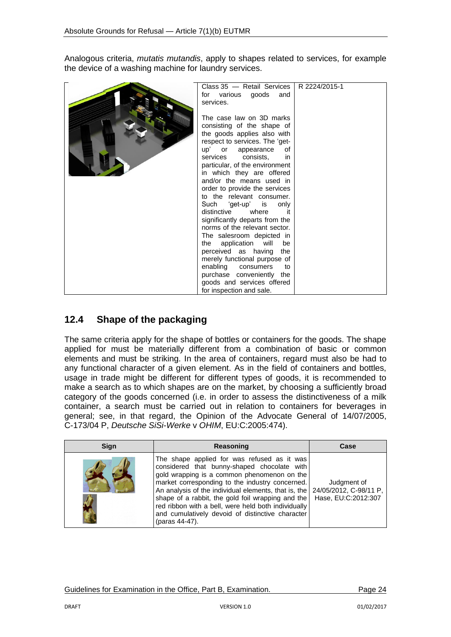Analogous criteria, *mutatis mutandis*, apply to shapes related to services, for example the device of a washing machine for laundry services.

| Class 35 - Retail Services<br>for various goods<br>and<br>services.                                                                                                                                                                                                                                                                                                                                                                                                                                                                                                                                                                                                                                               | R 2224/2015-1 |
|-------------------------------------------------------------------------------------------------------------------------------------------------------------------------------------------------------------------------------------------------------------------------------------------------------------------------------------------------------------------------------------------------------------------------------------------------------------------------------------------------------------------------------------------------------------------------------------------------------------------------------------------------------------------------------------------------------------------|---------------|
| The case law on 3D marks<br>consisting of the shape of<br>the goods applies also with<br>respect to services. The 'get-<br>up'<br>or appearance<br>οf<br>services consists,<br>in<br>particular, of the environment<br>in which they are offered<br>and/or the means used in<br>order to provide the services<br>to the relevant consumer.<br>Such 'get-up' is<br>only<br>distinctive<br>where<br>it.<br>significantly departs from the<br>norms of the relevant sector.<br>The salesroom depicted in<br>the application will<br>be<br>perceived as having the<br>merely functional purpose of<br>enabling consumers<br>to<br>purchase conveniently the<br>goods and services offered<br>for inspection and sale. |               |

## <span id="page-23-0"></span>**12.4 Shape of the packaging**

The same criteria apply for the shape of bottles or containers for the goods. The shape applied for must be materially different from a combination of basic or common elements and must be striking. In the area of containers, regard must also be had to any functional character of a given element. As in the field of containers and bottles, usage in trade might be different for different types of goods, it is recommended to make a search as to which shapes are on the market, by choosing a sufficiently broad category of the goods concerned (i.e. in order to assess the distinctiveness of a milk container, a search must be carried out in relation to containers for beverages in general; see, in that regard, the Opinion of the Advocate General of 14/07/2005, C-173/04 P, *Deutsche SiSi-Werke* v *OHIM*, EU:C:2005:474).

| <b>Sign</b> | Reasoning                                                                                                                                                                                                                                                                                                                                                                                                                                                       | Case                               |
|-------------|-----------------------------------------------------------------------------------------------------------------------------------------------------------------------------------------------------------------------------------------------------------------------------------------------------------------------------------------------------------------------------------------------------------------------------------------------------------------|------------------------------------|
|             | The shape applied for was refused as it was<br>considered that bunny-shaped chocolate with<br>gold wrapping is a common phenomenon on the<br>market corresponding to the industry concerned.<br>An analysis of the individual elements, that is, the   24/05/2012, C-98/11 P,<br>shape of a rabbit, the gold foil wrapping and the<br>red ribbon with a bell, were held both individually<br>and cumulatively devoid of distinctive character<br>(paras 44-47). | Judgment of<br>Hase, EU:C:2012:307 |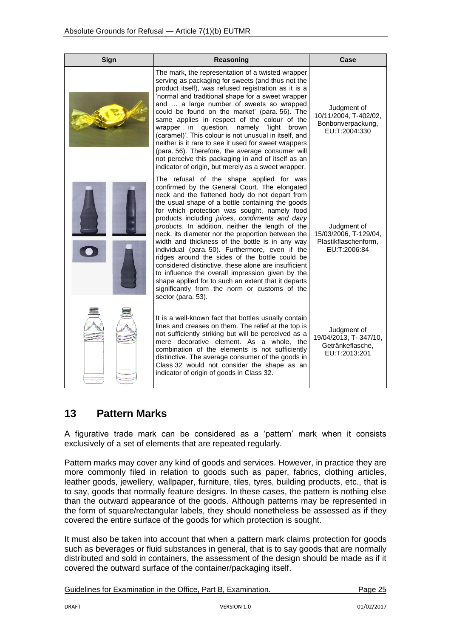| Sign | Reasoning                                                                                                                                                                                                                                                                                                                                                                                                                                                                                                                                                                                                                                                                                                                                                                                                     | Case                                                                         |
|------|---------------------------------------------------------------------------------------------------------------------------------------------------------------------------------------------------------------------------------------------------------------------------------------------------------------------------------------------------------------------------------------------------------------------------------------------------------------------------------------------------------------------------------------------------------------------------------------------------------------------------------------------------------------------------------------------------------------------------------------------------------------------------------------------------------------|------------------------------------------------------------------------------|
|      | The mark, the representation of a twisted wrapper<br>serving as packaging for sweets (and thus not the<br>product itself), was refused registration as it is a<br>'normal and traditional shape for a sweet wrapper<br>and  a large number of sweets so wrapped<br>could be found on the market' (para. 56). The<br>same applies in respect of the colour of the<br>wrapper in question, namely 'light brown<br>(caramel)'. This colour is not unusual in itself, and<br>neither is it rare to see it used for sweet wrappers<br>(para. 56). Therefore, the average consumer will<br>not perceive this packaging in and of itself as an<br>indicator of origin, but merely as a sweet wrapper.                                                                                                                | Judgment of<br>10/11/2004, T-402/02,<br>Bonbonverpackung,<br>EU:T:2004:330   |
|      | The refusal of the shape applied for was<br>confirmed by the General Court. The elongated<br>neck and the flattened body do not depart from<br>the usual shape of a bottle containing the goods<br>for which protection was sought, namely food<br>products including juices, condiments and dairy<br>products. In addition, neither the length of the<br>neck, its diameter nor the proportion between the<br>width and thickness of the bottle is in any way<br>individual (para. 50). Furthermore, even if the<br>ridges around the sides of the bottle could be<br>considered distinctive, these alone are insufficient<br>to influence the overall impression given by the<br>shape applied for to such an extent that it departs<br>significantly from the norm or customs of the<br>sector (para. 53). | Judgment of<br>15/03/2006, T-129/04,<br>Plastikflaschenform,<br>EU:T:2006:84 |
|      | It is a well-known fact that bottles usually contain<br>lines and creases on them. The relief at the top is<br>not sufficiently striking but will be perceived as a<br>mere decorative element. As a whole, the<br>combination of the elements is not sufficiently<br>distinctive. The average consumer of the goods in<br>Class 32 would not consider the shape as an<br>indicator of origin of goods in Class 32.                                                                                                                                                                                                                                                                                                                                                                                           | Judgment of<br>19/04/2013, T-347/10,<br>Getränkeflasche,<br>EU:T:2013:201    |

## <span id="page-24-0"></span>**13 Pattern Marks**

A figurative trade mark can be considered as a 'pattern' mark when it consists exclusively of a set of elements that are repeated regularly.

Pattern marks may cover any kind of goods and services. However, in practice they are more commonly filed in relation to goods such as paper, fabrics, clothing articles, leather goods, jewellery, wallpaper, furniture, tiles, tyres, building products, etc., that is to say, goods that normally feature designs. In these cases, the pattern is nothing else than the outward appearance of the goods. Although patterns may be represented in the form of square/rectangular labels, they should nonetheless be assessed as if they covered the entire surface of the goods for which protection is sought.

It must also be taken into account that when a pattern mark claims protection for goods such as beverages or fluid substances in general, that is to say goods that are normally distributed and sold in containers, the assessment of the design should be made as if it covered the outward surface of the container/packaging itself.

|  | Guidelines for Examination in the Office, Part B, Examination. |  | Page 25 |  |
|--|----------------------------------------------------------------|--|---------|--|
|--|----------------------------------------------------------------|--|---------|--|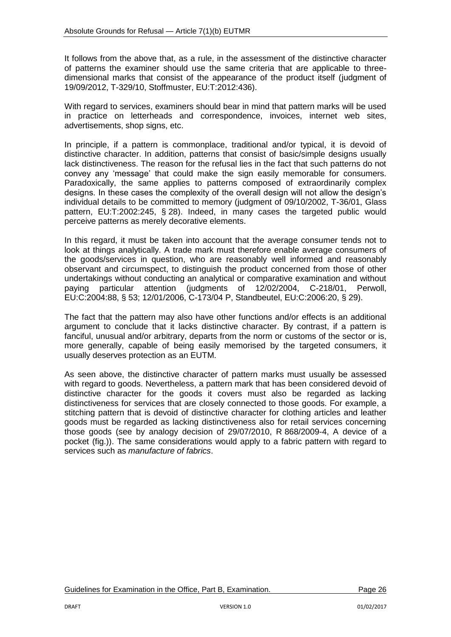It follows from the above that, as a rule, in the assessment of the distinctive character of patterns the examiner should use the same criteria that are applicable to threedimensional marks that consist of the appearance of the product itself (judgment of 19/09/2012, T-329/10, Stoffmuster, EU:T:2012:436).

With regard to services, examiners should bear in mind that pattern marks will be used in practice on letterheads and correspondence, invoices, internet web sites, advertisements, shop signs, etc.

In principle, if a pattern is commonplace, traditional and/or typical, it is devoid of distinctive character. In addition, patterns that consist of basic/simple designs usually lack distinctiveness. The reason for the refusal lies in the fact that such patterns do not convey any 'message' that could make the sign easily memorable for consumers. Paradoxically, the same applies to patterns composed of extraordinarily complex designs. In these cases the complexity of the overall design will not allow the design's individual details to be committed to memory (judgment of 09/10/2002, T-36/01, Glass pattern, EU:T:2002:245, § 28). Indeed, in many cases the targeted public would perceive patterns as merely decorative elements.

In this regard, it must be taken into account that the average consumer tends not to look at things analytically. A trade mark must therefore enable average consumers of the goods/services in question, who are reasonably well informed and reasonably observant and circumspect, to distinguish the product concerned from those of other undertakings without conducting an analytical or comparative examination and without paying particular attention (judgments of 12/02/2004, C-218/01, Perwoll, EU:C:2004:88, § 53; 12/01/2006, C-173/04 P, Standbeutel, EU:C:2006:20, § 29).

The fact that the pattern may also have other functions and/or effects is an additional argument to conclude that it lacks distinctive character. By contrast, if a pattern is fanciful, unusual and/or arbitrary, departs from the norm or customs of the sector or is, more generally, capable of being easily memorised by the targeted consumers, it usually deserves protection as an EUTM.

As seen above, the distinctive character of pattern marks must usually be assessed with regard to goods. Nevertheless, a pattern mark that has been considered devoid of distinctive character for the goods it covers must also be regarded as lacking distinctiveness for services that are closely connected to those goods. For example, a stitching pattern that is devoid of distinctive character for clothing articles and leather goods must be regarded as lacking distinctiveness also for retail services concerning those goods (see by analogy decision of 29/07/2010, R 868/2009-4, A device of a pocket (fig.)). The same considerations would apply to a fabric pattern with regard to services such as *manufacture of fabrics*.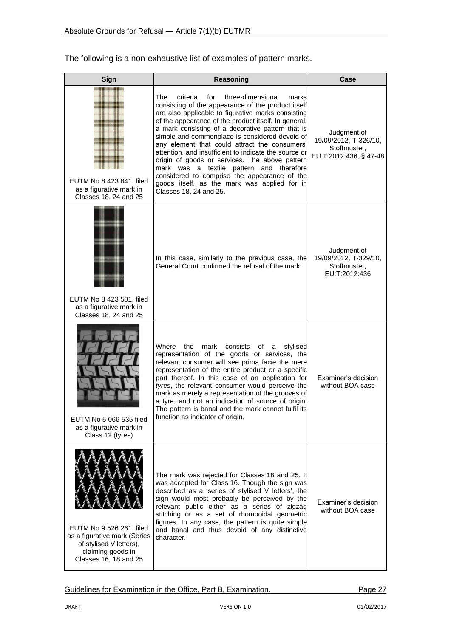### The following is a non-exhaustive list of examples of pattern marks.

| Sign                                                                                                                              | Reasoning                                                                                                                                                                                                                                                                                                                                                                                                                                                                                                                                                                                                                                                         | Case                                                                           |
|-----------------------------------------------------------------------------------------------------------------------------------|-------------------------------------------------------------------------------------------------------------------------------------------------------------------------------------------------------------------------------------------------------------------------------------------------------------------------------------------------------------------------------------------------------------------------------------------------------------------------------------------------------------------------------------------------------------------------------------------------------------------------------------------------------------------|--------------------------------------------------------------------------------|
| EUTM No 8 423 841, filed<br>as a figurative mark in<br>Classes 18, 24 and 25                                                      | The<br>criteria<br>for<br>three-dimensional<br>marks<br>consisting of the appearance of the product itself<br>are also applicable to figurative marks consisting<br>of the appearance of the product itself. In general,<br>a mark consisting of a decorative pattern that is<br>simple and commonplace is considered devoid of<br>any element that could attract the consumers'<br>attention, and insufficient to indicate the source or<br>origin of goods or services. The above pattern<br>mark was a textile pattern and therefore<br>considered to comprise the appearance of the<br>goods itself, as the mark was applied for in<br>Classes 18, 24 and 25. | Judgment of<br>19/09/2012, T-326/10,<br>Stoffmuster,<br>EU:T:2012:436, § 47-48 |
| EUTM No 8 423 501, filed<br>as a figurative mark in<br>Classes 18, 24 and 25                                                      | In this case, similarly to the previous case, the<br>General Court confirmed the refusal of the mark.                                                                                                                                                                                                                                                                                                                                                                                                                                                                                                                                                             | Judgment of<br>19/09/2012, T-329/10,<br>Stoffmuster,<br>EU:T:2012:436          |
| EUTM No 5 066 535 filed<br>as a figurative mark in<br>Class 12 (tyres)                                                            | Where<br>the<br>mark<br>consists<br>of<br>stylised<br>a<br>representation of the goods or services, the<br>relevant consumer will see prima facie the mere<br>representation of the entire product or a specific<br>part thereof. In this case of an application for<br>tyres, the relevant consumer would perceive the<br>mark as merely a representation of the grooves of<br>a tyre, and not an indication of source of origin.<br>The pattern is banal and the mark cannot fulfil its<br>function as indicator of origin.                                                                                                                                     | Examiner's decision<br>without BOA case                                        |
| EUTM No 9 526 261, filed<br>as a figurative mark (Series<br>of stylised V letters),<br>claiming goods in<br>Classes 16, 18 and 25 | The mark was rejected for Classes 18 and 25. It<br>was accepted for Class 16. Though the sign was<br>described as a 'series of stylised V letters', the<br>sign would most probably be perceived by the<br>relevant public either as a series of zigzag<br>stitching or as a set of rhomboidal geometric<br>figures. In any case, the pattern is quite simple<br>and banal and thus devoid of any distinctive<br>character.                                                                                                                                                                                                                                       | Examiner's decision<br>without BOA case                                        |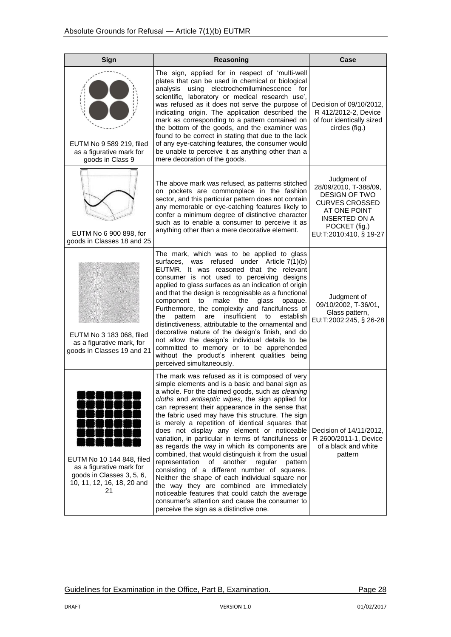| Sign                                                                                                                   | Reasoning                                                                                                                                                                                                                                                                                                                                                                                                                                                                                                                                                                                                                                                                                                                                                                                                                                                                                                                                        | Case                                                                                                                                                                     |  |
|------------------------------------------------------------------------------------------------------------------------|--------------------------------------------------------------------------------------------------------------------------------------------------------------------------------------------------------------------------------------------------------------------------------------------------------------------------------------------------------------------------------------------------------------------------------------------------------------------------------------------------------------------------------------------------------------------------------------------------------------------------------------------------------------------------------------------------------------------------------------------------------------------------------------------------------------------------------------------------------------------------------------------------------------------------------------------------|--------------------------------------------------------------------------------------------------------------------------------------------------------------------------|--|
| EUTM No 9 589 219, filed<br>as a figurative mark for<br>goods in Class 9                                               | The sign, applied for in respect of 'multi-well<br>plates that can be used in chemical or biological<br>using electrochemiluminescence for<br>analysis<br>scientific, laboratory or medical research use',<br>was refused as it does not serve the purpose of<br>indicating origin. The application described the<br>mark as corresponding to a pattern contained on<br>the bottom of the goods, and the examiner was<br>found to be correct in stating that due to the lack<br>of any eye-catching features, the consumer would<br>be unable to perceive it as anything other than a<br>mere decoration of the goods.                                                                                                                                                                                                                                                                                                                           | Decision of 09/10/2012,<br>R 412/2012-2, Device<br>of four identically sized<br>circles (fig.)                                                                           |  |
| EUTM No 6 900 898, for<br>goods in Classes 18 and 25                                                                   | The above mark was refused, as patterns stitched<br>on pockets are commonplace in the fashion<br>sector, and this particular pattern does not contain<br>any memorable or eye-catching features likely to<br>confer a minimum degree of distinctive character<br>such as to enable a consumer to perceive it as<br>anything other than a mere decorative element.                                                                                                                                                                                                                                                                                                                                                                                                                                                                                                                                                                                | Judgment of<br>28/09/2010, T-388/09,<br><b>DESIGN OF TWO</b><br><b>CURVES CROSSED</b><br>AT ONE POINT<br><b>INSERTED ON A</b><br>POCKET (fig.)<br>EU:T:2010:410, § 19-27 |  |
| EUTM No 3 183 068, filed<br>as a figurative mark, for<br>goods in Classes 19 and 21                                    | The mark, which was to be applied to glass<br>refused under Article 7(1)(b)<br>surfaces,<br>was<br>EUTMR. It was reasoned that the relevant<br>consumer is not used to perceiving designs<br>applied to glass surfaces as an indication of origin<br>and that the design is recognisable as a functional<br>component to<br>make the glass<br>opaque.<br>Furthermore, the complexity and fancifulness of<br>pattern<br>insufficient<br>the<br>are<br>to<br>establish<br>distinctiveness, attributable to the ornamental and<br>decorative nature of the design's finish, and do<br>not allow the design's individual details to be<br>committed to memory or to be apprehended<br>without the product's inherent qualities being<br>perceived simultaneously.                                                                                                                                                                                    | Judgment of<br>09/10/2002, T-36/01,<br>Glass pattern,<br>EU:T:2002:245, § 26-28                                                                                          |  |
| EUTM No 10 144 848, filed<br>as a figurative mark for<br>goods in Classes 3, 5, 6,<br>10, 11, 12, 16, 18, 20 and<br>21 | The mark was refused as it is composed of very<br>simple elements and is a basic and banal sign as<br>a whole. For the claimed goods, such as cleaning<br>cloths and antiseptic wipes, the sign applied for<br>can represent their appearance in the sense that<br>the fabric used may have this structure. The sign<br>is merely a repetition of identical squares that<br>does not display any element or noticeable<br>variation, in particular in terms of fancifulness or<br>as regards the way in which its components are<br>combined, that would distinguish it from the usual<br>representation<br>of<br>another<br>regular<br>pattern<br>consisting of a different number of squares.<br>Neither the shape of each individual square nor<br>the way they are combined are immediately<br>noticeable features that could catch the average<br>consumer's attention and cause the consumer to<br>perceive the sign as a distinctive one. | Decision of 14/11/2012,<br>R 2600/2011-1, Device<br>of a black and white<br>pattern                                                                                      |  |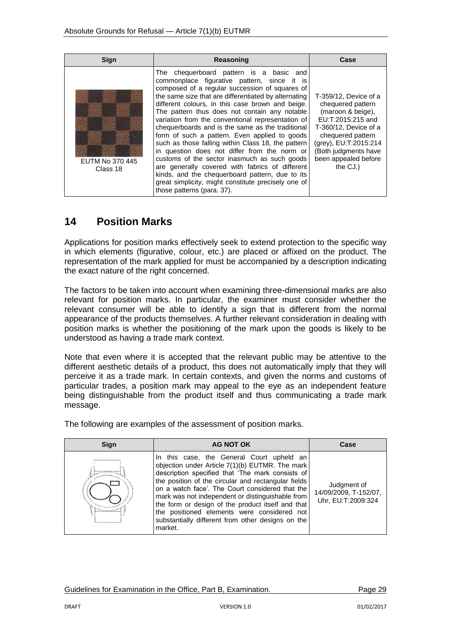| Sign                        | Reasoning                                                                                                                                                                                                                                                                                                                                                                                                                                                                                                                                                                                                                                                                                                                                                                                                        | Case                                                                                                                                                                                                                    |
|-----------------------------|------------------------------------------------------------------------------------------------------------------------------------------------------------------------------------------------------------------------------------------------------------------------------------------------------------------------------------------------------------------------------------------------------------------------------------------------------------------------------------------------------------------------------------------------------------------------------------------------------------------------------------------------------------------------------------------------------------------------------------------------------------------------------------------------------------------|-------------------------------------------------------------------------------------------------------------------------------------------------------------------------------------------------------------------------|
| EUTM No 370 445<br>Class 18 | The chequerboard pattern is a basic and<br>commonplace figurative pattern, since it is<br>composed of a regular succession of squares of<br>the same size that are differentiated by alternating<br>different colours, in this case brown and beige.<br>The pattern thus does not contain any notable<br>variation from the conventional representation of<br>chequerboards and is the same as the traditional<br>form of such a pattern. Even applied to goods<br>such as those falling within Class 18, the pattern<br>in question does not differ from the norm or<br>customs of the sector inasmuch as such goods<br>are generally covered with fabrics of different<br>kinds, and the chequerboard pattern, due to its<br>great simplicity, might constitute precisely one of<br>those patterns (para. 37). | T-359/12. Device of a<br>chequered pattern<br>(maroon & beige),<br>EU:T:2015:215 and<br>T-360/12. Device of a<br>chequered pattern<br>(grey), EU:T:2015:214<br>(Both judgments have<br>been appealed before<br>the CJ.) |

# <span id="page-28-0"></span>**14 Position Marks**

Applications for position marks effectively seek to extend protection to the specific way in which elements (figurative, colour, etc.) are placed or affixed on the product. The representation of the mark applied for must be accompanied by a description indicating the exact nature of the right concerned.

The factors to be taken into account when examining three-dimensional marks are also relevant for position marks. In particular, the examiner must consider whether the relevant consumer will be able to identify a sign that is different from the normal appearance of the products themselves. A further relevant consideration in dealing with position marks is whether the positioning of the mark upon the goods is likely to be understood as having a trade mark context.

Note that even where it is accepted that the relevant public may be attentive to the different aesthetic details of a product, this does not automatically imply that they will perceive it as a trade mark. In certain contexts, and given the norms and customs of particular trades, a position mark may appeal to the eye as an independent feature being distinguishable from the product itself and thus communicating a trade mark message.

The following are examples of the assessment of position marks.

| <b>Sign</b> | AG NOT OK                                                                                                                                                                                                                                                                                                                                                                                                                                                                          | Case                                                       |
|-------------|------------------------------------------------------------------------------------------------------------------------------------------------------------------------------------------------------------------------------------------------------------------------------------------------------------------------------------------------------------------------------------------------------------------------------------------------------------------------------------|------------------------------------------------------------|
|             | In this case, the General Court upheld an<br>objection under Article 7(1)(b) EUTMR. The mark<br>description specified that 'The mark consists of<br>the position of the circular and rectangular fields<br>on a watch face'. The Court considered that the<br>mark was not independent or distinguishable from<br>the form or design of the product itself and that<br>the positioned elements were considered not<br>substantially different from other designs on the<br>market. | Judgment of<br>14/09/2009, T-152/07,<br>Uhr, EU:T:2009:324 |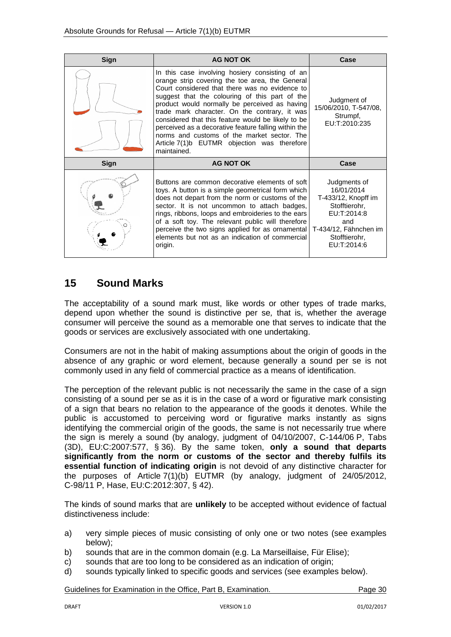| Sign | <b>AG NOT OK</b>                                                                                                                                                                                                                                                                                                                                                                                                                                                                                                                    | Case                                                                                                                                              |
|------|-------------------------------------------------------------------------------------------------------------------------------------------------------------------------------------------------------------------------------------------------------------------------------------------------------------------------------------------------------------------------------------------------------------------------------------------------------------------------------------------------------------------------------------|---------------------------------------------------------------------------------------------------------------------------------------------------|
|      | In this case involving hosiery consisting of an<br>orange strip covering the toe area, the General<br>Court considered that there was no evidence to<br>suggest that the colouring of this part of the<br>product would normally be perceived as having<br>trade mark character. On the contrary, it was<br>considered that this feature would be likely to be<br>perceived as a decorative feature falling within the<br>norms and customs of the market sector. The<br>Article 7(1)b EUTMR objection was therefore<br>maintained. | Judgment of<br>15/06/2010, T-547/08,<br>Strumpf,<br>EU:T:2010:235                                                                                 |
| Sign | <b>AG NOT OK</b>                                                                                                                                                                                                                                                                                                                                                                                                                                                                                                                    | Case                                                                                                                                              |
|      | Buttons are common decorative elements of soft<br>toys. A button is a simple geometrical form which<br>does not depart from the norm or customs of the<br>sector. It is not uncommon to attach badges,<br>rings, ribbons, loops and embroideries to the ears<br>of a soft toy. The relevant public will therefore<br>perceive the two signs applied for as ornamental<br>elements but not as an indication of commercial<br>origin.                                                                                                 | Judgments of<br>16/01/2014<br>T-433/12, Knopff im<br>Stofftierohr,<br>EU:T:2014:8<br>and<br>T-434/12, Fähnchen im<br>Stofftierohr,<br>EU:T:2014:6 |

### <span id="page-29-0"></span>**15 Sound Marks**

The acceptability of a sound mark must, like words or other types of trade marks, depend upon whether the sound is distinctive per se*,* that is, whether the average consumer will perceive the sound as a memorable one that serves to indicate that the goods or services are exclusively associated with one undertaking.

Consumers are not in the habit of making assumptions about the origin of goods in the absence of any graphic or word element, because generally a sound per se is not commonly used in any field of commercial practice as a means of identification.

The perception of the relevant public is not necessarily the same in the case of a sign consisting of a sound per se as it is in the case of a word or figurative mark consisting of a sign that bears no relation to the appearance of the goods it denotes. While the public is accustomed to perceiving word or figurative marks instantly as signs identifying the commercial origin of the goods, the same is not necessarily true where the sign is merely a sound (by analogy, judgment of 04/10/2007, C-144/06 P, Tabs (3D), EU:C:2007:577, § 36). By the same token, **only a sound that departs significantly from the norm or customs of the sector and thereby fulfils its essential function of indicating origin** is not devoid of any distinctive character for the purposes of Article 7(1)(b) EUTMR (by analogy, judgment of 24/05/2012, C-98/11 P, Hase, EU:C:2012:307, § 42).

The kinds of sound marks that are **unlikely** to be accepted without evidence of factual distinctiveness include:

- a) very simple pieces of music consisting of only one or two notes (see examples below);
- b) sounds that are in the common domain (e.g. La Marseillaise, Für Elise);
- c) sounds that are too long to be considered as an indication of origin;
- d) sounds typically linked to specific goods and services (see examples below).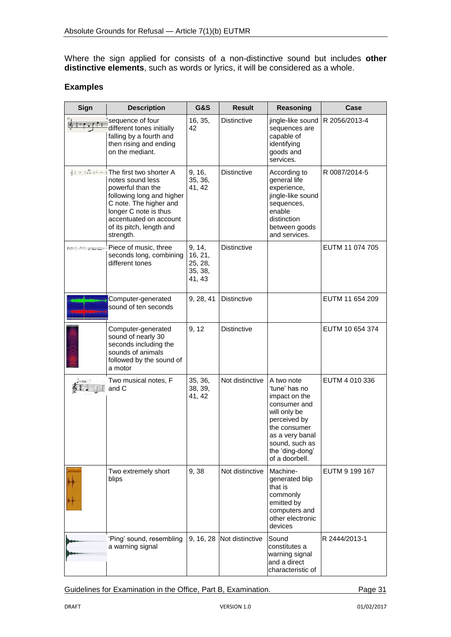Where the sign applied for consists of a non-distinctive sound but includes **other distinctive elements**, such as words or lyrics, it will be considered as a whole.

#### **Examples**

| Sign   | <b>Description</b>                                                                                                                                                                                                                  | <b>G&amp;S</b>                                    | <b>Result</b>             | Reasoning                                                                                                                                                                              | Case            |
|--------|-------------------------------------------------------------------------------------------------------------------------------------------------------------------------------------------------------------------------------------|---------------------------------------------------|---------------------------|----------------------------------------------------------------------------------------------------------------------------------------------------------------------------------------|-----------------|
|        | sequence of four<br>different tones initially<br>falling by a fourth and<br>then rising and ending<br>on the mediant.                                                                                                               | 16, 35,<br>42                                     | <b>Distinctive</b>        | jingle-like sound<br>sequences are<br>capable of<br>identifying<br>goods and<br>services.                                                                                              | R 2056/2013-4   |
|        | る : 一 # コ   -   The first two shorter A<br>notes sound less<br>powerful than the<br>following long and higher<br>C note. The higher and<br>longer C note is thus<br>accentuated on account<br>of its pitch, length and<br>strength. | 9, 16,<br>35, 36,<br>41, 42                       | <b>Distinctive</b>        | According to<br>general life<br>experience,<br>jingle-like sound<br>sequences,<br>enable<br>distinction<br>between goods<br>and services.                                              | R 0087/2014-5   |
|        | <del>*** ** ** ≈ **</del> Piece of music, three<br>seconds long, combining<br>different tones                                                                                                                                       | 9, 14,<br>16, 21,<br>25, 28,<br>35, 38,<br>41, 43 | <b>Distinctive</b>        |                                                                                                                                                                                        | EUTM 11 074 705 |
|        | Computer-generated<br>sound of ten seconds                                                                                                                                                                                          | 9, 28, 41                                         | <b>Distinctive</b>        |                                                                                                                                                                                        | EUTM 11 654 209 |
|        | Computer-generated<br>sound of nearly 30<br>seconds including the<br>sounds of animals<br>followed by the sound of<br>a motor                                                                                                       | 9, 12                                             | <b>Distinctive</b>        |                                                                                                                                                                                        | EUTM 10 654 374 |
| $-120$ | Two musical notes, F<br>and C                                                                                                                                                                                                       | 35, 36,<br>38, 39,<br>41, 42                      | Not distinctive           | A two note<br>'tune' has no<br>impact on the<br>consumer and<br>will only be<br>perceived by<br>the consumer<br>as a very banal<br>sound, such as<br>the 'ding-dong'<br>of a doorbell. | EUTM 4 010 336  |
|        | Two extremely short<br>blips                                                                                                                                                                                                        | 9,38                                              | Not distinctive           | Machine-<br>generated blip<br>that is<br>commonly<br>emitted by<br>computers and<br>other electronic<br>devices                                                                        | EUTM 9 199 167  |
|        | 'Ping' sound, resembling<br>a warning signal                                                                                                                                                                                        |                                                   | 9, 16, 28 Not distinctive | Sound<br>constitutes a<br>warning signal<br>and a direct<br>characteristic of                                                                                                          | R 2444/2013-1   |

Guidelines for Examination in the Office, Part B, Examination. Page 31